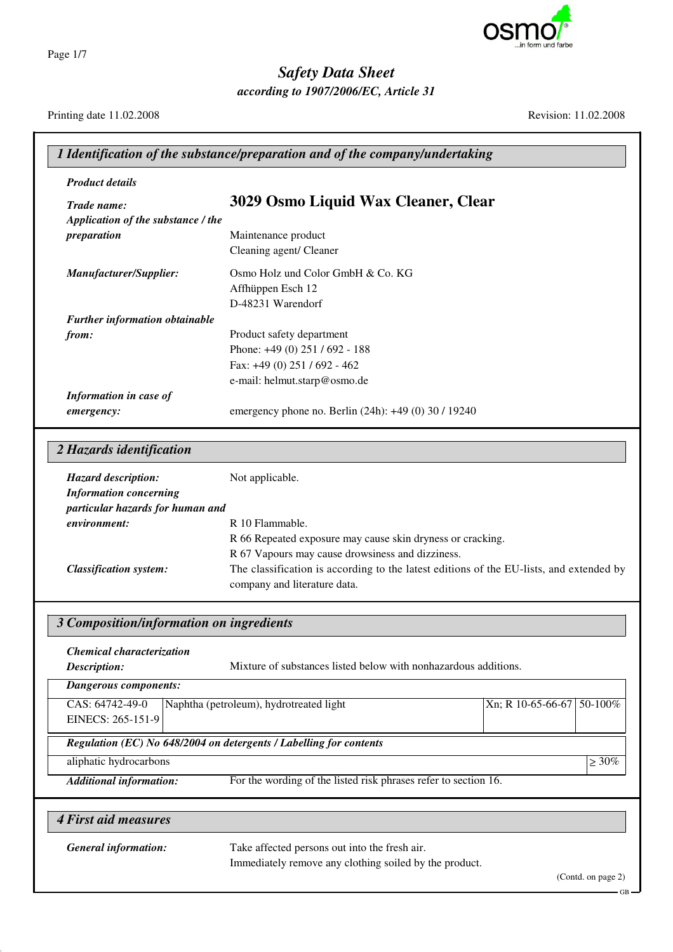

*according to 1907/2006/EC, Article 31*

Page 1/7

Printing date 11.02.2008 Revision: 11.02.2008

| <b>Product details</b>                                             |                                                                                         |  |
|--------------------------------------------------------------------|-----------------------------------------------------------------------------------------|--|
| Trade name:                                                        | 3029 Osmo Liquid Wax Cleaner, Clear                                                     |  |
| Application of the substance / the                                 |                                                                                         |  |
| preparation                                                        | Maintenance product                                                                     |  |
|                                                                    | Cleaning agent/ Cleaner                                                                 |  |
|                                                                    |                                                                                         |  |
| Manufacturer/Supplier:                                             | Osmo Holz und Color GmbH & Co. KG<br>Affhüppen Esch 12                                  |  |
|                                                                    | D-48231 Warendorf                                                                       |  |
| <b>Further information obtainable</b>                              |                                                                                         |  |
| from:                                                              | Product safety department                                                               |  |
|                                                                    | Phone: +49 (0) 251 / 692 - 188                                                          |  |
|                                                                    | Fax: +49 (0) 251 / 692 - 462                                                            |  |
|                                                                    | e-mail: helmut.starp@osmo.de                                                            |  |
| Information in case of                                             |                                                                                         |  |
| emergency:                                                         | emergency phone no. Berlin (24h): +49 (0) 30 / 19240                                    |  |
| 2 Hazards identification                                           |                                                                                         |  |
| <b>Hazard description:</b>                                         | Not applicable.                                                                         |  |
| <b>Information concerning</b>                                      |                                                                                         |  |
| particular hazards for human and                                   |                                                                                         |  |
| environment:                                                       | R 10 Flammable.                                                                         |  |
|                                                                    | R 66 Repeated exposure may cause skin dryness or cracking.                              |  |
|                                                                    | R 67 Vapours may cause drowsiness and dizziness.                                        |  |
| <b>Classification system:</b>                                      | The classification is according to the latest editions of the EU-lists, and extended by |  |
|                                                                    | company and literature data.                                                            |  |
| 3 Composition/information on ingredients                           |                                                                                         |  |
| Chemical characterization                                          |                                                                                         |  |
| Description:                                                       | Mixture of substances listed below with nonhazardous additions.                         |  |
| <b>Dangerous components:</b>                                       |                                                                                         |  |
| CAS: 64742-49-0                                                    | Naphtha (petroleum), hydrotreated light<br>Xn; R 10-65-66-67 50-100%                    |  |
| EINECS: 265-151-9                                                  |                                                                                         |  |
|                                                                    |                                                                                         |  |
|                                                                    |                                                                                         |  |
| Regulation (EC) No 648/2004 on detergents / Labelling for contents |                                                                                         |  |
| aliphatic hydrocarbons                                             |                                                                                         |  |
| <b>Additional information:</b>                                     | For the wording of the listed risk phrases refer to section 16.                         |  |
|                                                                    |                                                                                         |  |
| <b>4 First aid measures</b><br><b>General information:</b>         | $\geq 30\%$<br>Take affected persons out into the fresh air.                            |  |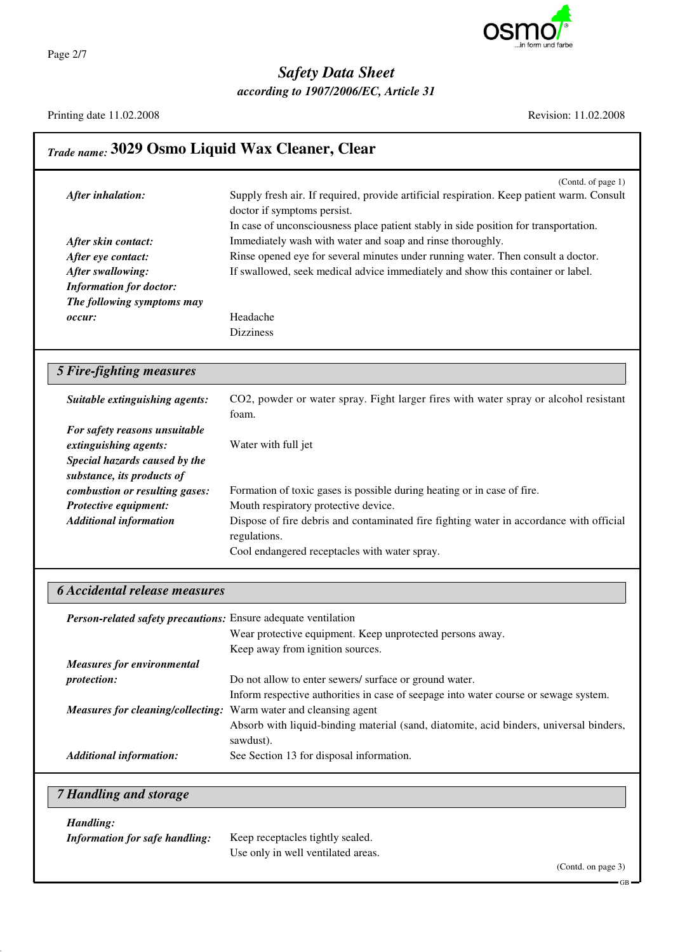

*according to 1907/2006/EC, Article 31*

Printing date 11.02.2008 Revision: 11.02.2008

h

| <b>Trade name: 3029 Osmo Liquid Wax Cleaner, Clear</b>         |                                                                                                                                                                                                                                        |
|----------------------------------------------------------------|----------------------------------------------------------------------------------------------------------------------------------------------------------------------------------------------------------------------------------------|
| After inhalation:                                              | (Contd. of page 1)<br>Supply fresh air. If required, provide artificial respiration. Keep patient warm. Consult<br>doctor if symptoms persist.<br>In case of unconsciousness place patient stably in side position for transportation. |
| After skin contact:                                            | Immediately wash with water and soap and rinse thoroughly.                                                                                                                                                                             |
| After eye contact:                                             | Rinse opened eye for several minutes under running water. Then consult a doctor.                                                                                                                                                       |
| After swallowing:                                              | If swallowed, seek medical advice immediately and show this container or label.                                                                                                                                                        |
| <b>Information for doctor:</b>                                 |                                                                                                                                                                                                                                        |
| The following symptoms may                                     |                                                                                                                                                                                                                                        |
| occur:                                                         | Headache                                                                                                                                                                                                                               |
|                                                                | <b>Dizziness</b>                                                                                                                                                                                                                       |
| <b>5 Fire-fighting measures</b>                                |                                                                                                                                                                                                                                        |
| Suitable extinguishing agents:                                 | CO2, powder or water spray. Fight larger fires with water spray or alcohol resistant<br>foam.                                                                                                                                          |
| For safety reasons unsuitable                                  |                                                                                                                                                                                                                                        |
| extinguishing agents:                                          | Water with full jet                                                                                                                                                                                                                    |
| Special hazards caused by the                                  |                                                                                                                                                                                                                                        |
| substance, its products of                                     |                                                                                                                                                                                                                                        |
| combustion or resulting gases:                                 | Formation of toxic gases is possible during heating or in case of fire.                                                                                                                                                                |
| Protective equipment:                                          | Mouth respiratory protective device.                                                                                                                                                                                                   |
| <b>Additional information</b>                                  | Dispose of fire debris and contaminated fire fighting water in accordance with official                                                                                                                                                |
|                                                                | regulations.                                                                                                                                                                                                                           |
|                                                                | Cool endangered receptacles with water spray.                                                                                                                                                                                          |
| <b>6 Accidental release measures</b>                           |                                                                                                                                                                                                                                        |
| Person-related safety precautions: Ensure adequate ventilation |                                                                                                                                                                                                                                        |
|                                                                | Wear protective equipment. Keep unprotected persons away.                                                                                                                                                                              |
|                                                                | Keep away from ignition sources.                                                                                                                                                                                                       |
| <b>Measures for environmental</b>                              |                                                                                                                                                                                                                                        |
| protection:                                                    | Do not allow to enter sewers/ surface or ground water.                                                                                                                                                                                 |
|                                                                | Inform respective authorities in case of seepage into water course or sewage system.                                                                                                                                                   |
| <b>Measures for cleaning/collecting:</b>                       | Warm water and cleansing agent                                                                                                                                                                                                         |
|                                                                | Absorb with liquid-binding material (sand, diatomite, acid binders, universal binders,                                                                                                                                                 |
|                                                                | sawdust).<br>See Section 13 for disposal information.                                                                                                                                                                                  |
| <b>Additional information:</b>                                 |                                                                                                                                                                                                                                        |
| 7 Handling and storage                                         |                                                                                                                                                                                                                                        |
| Handling:                                                      |                                                                                                                                                                                                                                        |
| <b>Information for safe handling:</b>                          | Keep receptacles tightly sealed.                                                                                                                                                                                                       |
|                                                                | Use only in well ventilated areas.                                                                                                                                                                                                     |
|                                                                | (Contd. on page 3)                                                                                                                                                                                                                     |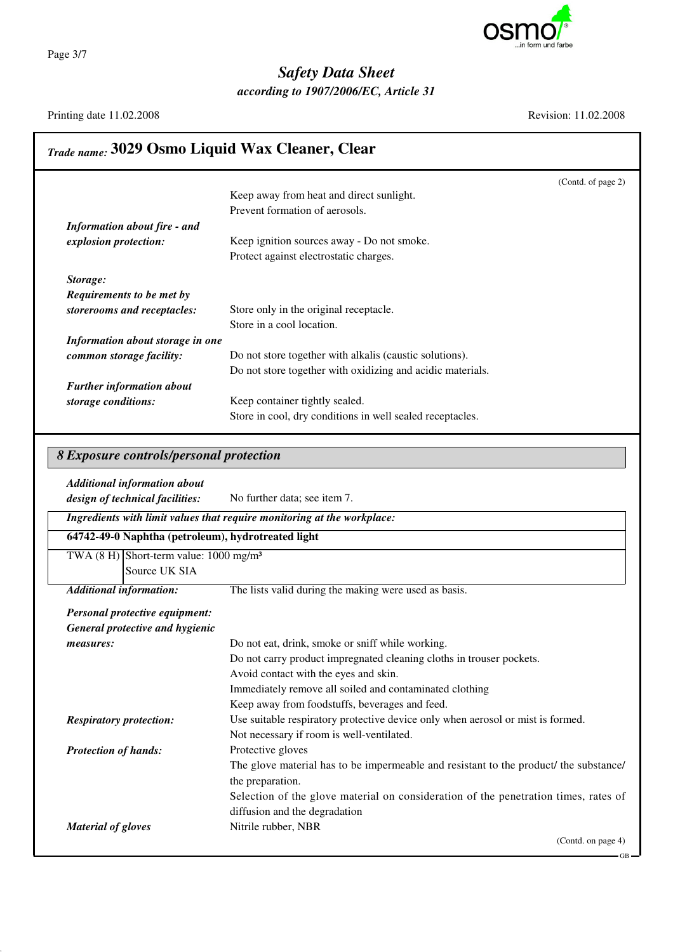

*according to 1907/2006/EC, Article 31*

Page 3/7

Printing date 11.02.2008 Revision: 11.02.2008

#### *Trade name:* **3029 Osmo Liquid Wax Cleaner, Clear** (Contd. of page 2) Keep away from heat and direct sunlight. Prevent formation of aerosols. *Information about fire - and explosion protection:* Keep ignition sources away - Do not smoke. Protect against electrostatic charges. *Storage: Requirements to be met by storerooms and receptacles:* Store only in the original receptacle. Store in a cool location. *Information about storage in one common storage facility:* Do not store together with alkalis (caustic solutions). Do not store together with oxidizing and acidic materials. *Further information about storage conditions:* Keep container tightly sealed. Store in cool, dry conditions in well sealed receptacles. *8 Exposure controls/personal protection Additional information about design of technical facilities:* No further data; see item 7. *Ingredients with limit values that require monitoring at the workplace:*

| 64742-49-0 Naphtha (petroleum), hydrotreated light   |                                                                                       |
|------------------------------------------------------|---------------------------------------------------------------------------------------|
| TWA $(8 H)$ Short-term value: 1000 mg/m <sup>3</sup> |                                                                                       |
| Source UK SIA                                        |                                                                                       |
| <b>Additional information:</b>                       | The lists valid during the making were used as basis.                                 |
| Personal protective equipment:                       |                                                                                       |
| General protective and hygienic                      |                                                                                       |
| <i>measures:</i>                                     | Do not eat, drink, smoke or sniff while working.                                      |
|                                                      | Do not carry product impregnated cleaning cloths in trouser pockets.                  |
|                                                      | Avoid contact with the eyes and skin.                                                 |
|                                                      | Immediately remove all soiled and contaminated clothing                               |
|                                                      | Keep away from foodstuffs, beverages and feed.                                        |
| <b>Respiratory protection:</b>                       | Use suitable respiratory protective device only when aerosol or mist is formed.       |
|                                                      | Not necessary if room is well-ventilated.                                             |
| <b>Protection of hands:</b>                          | Protective gloves                                                                     |
|                                                      | The glove material has to be impermeable and resistant to the product/ the substance/ |
|                                                      | the preparation.                                                                      |
|                                                      | Selection of the glove material on consideration of the penetration times, rates of   |
|                                                      | diffusion and the degradation                                                         |
| <b>Material of gloves</b>                            | Nitrile rubber, NBR                                                                   |
|                                                      | (Contd. on page 4)                                                                    |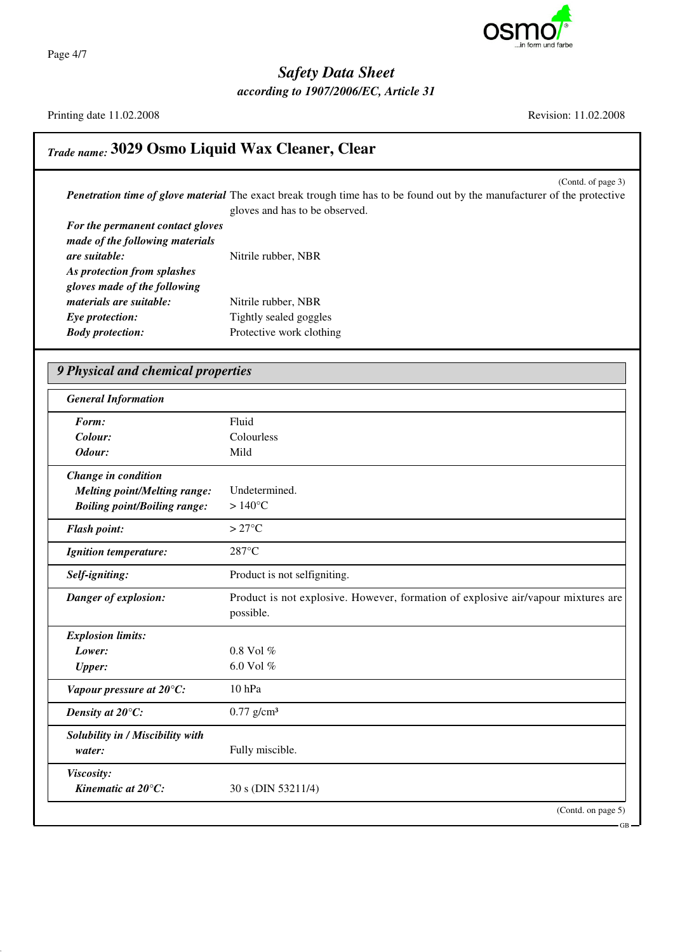

Page 4/7

*Safety Data Sheet*

*according to 1907/2006/EC, Article 31*

Printing date 11.02.2008 Revision: 11.02.2008

## *Trade name:* **3029 Osmo Liquid Wax Cleaner, Clear**

(Contd. of page 3) *Penetration time of glove material* The exact break trough time has to be found out by the manufacturer of the protective gloves and has to be observed.

| For the permanent contact gloves |                          |
|----------------------------------|--------------------------|
| made of the following materials  |                          |
| are suitable:                    | Nitrile rubber, NBR      |
| As protection from splashes      |                          |
| gloves made of the following     |                          |
| materials are suitable:          | Nitrile rubber, NBR      |
| Eye protection:                  | Tightly sealed goggles   |
| <b>Body protection:</b>          | Protective work clothing |
|                                  |                          |

| <b>General Information</b>          |                                                                                   |
|-------------------------------------|-----------------------------------------------------------------------------------|
| Form:                               | Fluid                                                                             |
| Colour:                             | Colourless                                                                        |
| Odour:                              | Mild                                                                              |
| Change in condition                 |                                                                                   |
| <b>Melting point/Melting range:</b> | Undetermined.                                                                     |
| <b>Boiling point/Boiling range:</b> | $>140^{\circ}$ C                                                                  |
| <b>Flash point:</b>                 | $>27^{\circ}$ C                                                                   |
| <b>Ignition temperature:</b>        | 287°C                                                                             |
| Self-igniting:                      | Product is not selfigniting.                                                      |
| Danger of explosion:                | Product is not explosive. However, formation of explosive air/vapour mixtures are |
|                                     | possible.                                                                         |
| <b>Explosion limits:</b>            |                                                                                   |
| Lower:                              | 0.8 Vol %                                                                         |
| <b>Upper:</b>                       | 6.0 Vol %                                                                         |
| Vapour pressure at 20°C:            | $10$ hPa                                                                          |
| Density at 20°C:                    | $0.77$ g/cm <sup>3</sup>                                                          |
| Solubility in / Miscibility with    |                                                                                   |
| water:                              | Fully miscible.                                                                   |
| Viscosity:                          |                                                                                   |
| Kinematic at $20^{\circ}$ C:        | 30 s (DIN 53211/4)                                                                |

GB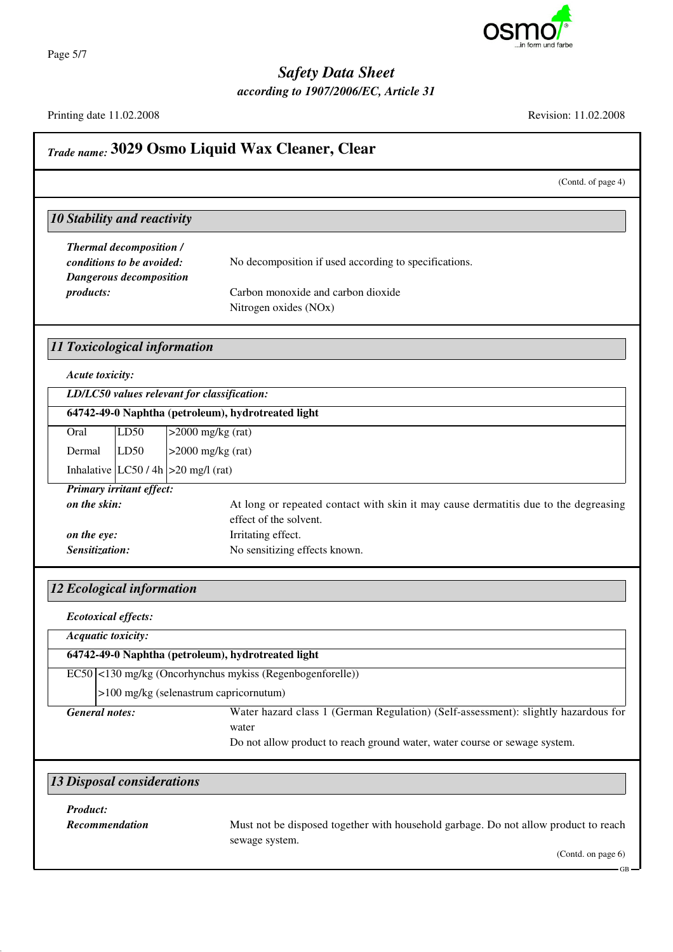

Page 5/7

# *Safety Data Sheet*

*according to 1907/2006/EC, Article 31*

Printing date 11.02.2008 Revision: 11.02.2008

| Trade name: 3029 Osmo Liquid Wax Cleaner, Clear                                                                        |                                                                                                                                                                           |
|------------------------------------------------------------------------------------------------------------------------|---------------------------------------------------------------------------------------------------------------------------------------------------------------------------|
|                                                                                                                        | (Contd. of page 4)                                                                                                                                                        |
| <b>10 Stability and reactivity</b>                                                                                     |                                                                                                                                                                           |
| <b>Thermal decomposition /</b><br>conditions to be avoided:<br><b>Dangerous decomposition</b><br>products:             | No decomposition if used according to specifications.<br>Carbon monoxide and carbon dioxide<br>Nitrogen oxides (NOx)                                                      |
| <b>11 Toxicological information</b>                                                                                    |                                                                                                                                                                           |
| Acute toxicity:<br>LD/LC50 values relevant for classification:<br>64742-49-0 Naphtha (petroleum), hydrotreated light   |                                                                                                                                                                           |
| LD50<br>$>2000$ mg/kg (rat)<br>Oral<br>LD50<br>$>2000$ mg/kg (rat)<br>Dermal<br>Inhalative $ LC50/4h  > 20$ mg/l (rat) |                                                                                                                                                                           |
| <b>Primary irritant effect:</b><br>on the skin:<br>on the eye:<br>Sensitization:                                       | At long or repeated contact with skin it may cause dermatitis due to the degreasing<br>effect of the solvent.<br>Irritating effect.<br>No sensitizing effects known.      |
| <b>12 Ecological information</b>                                                                                       |                                                                                                                                                                           |
| <b>Ecotoxical effects:</b><br>Acquatic toxicity:<br>64742-49-0 Naphtha (petroleum), hydrotreated light                 |                                                                                                                                                                           |
| $ EC50 $ <130 mg/kg (Oncorhynchus mykiss (Regenbogenforelle))<br>>100 mg/kg (selenastrum capricornutum)                |                                                                                                                                                                           |
| <b>General notes:</b>                                                                                                  | Water hazard class 1 (German Regulation) (Self-assessment): slightly hazardous for<br>water<br>Do not allow product to reach ground water, water course or sewage system. |
| <b>13 Disposal considerations</b>                                                                                      |                                                                                                                                                                           |
| <b>Product:</b><br>Recommendation                                                                                      | Must not be disposed together with household garbage. Do not allow product to reach<br>sewage system.<br>(Contd. on page 6)                                               |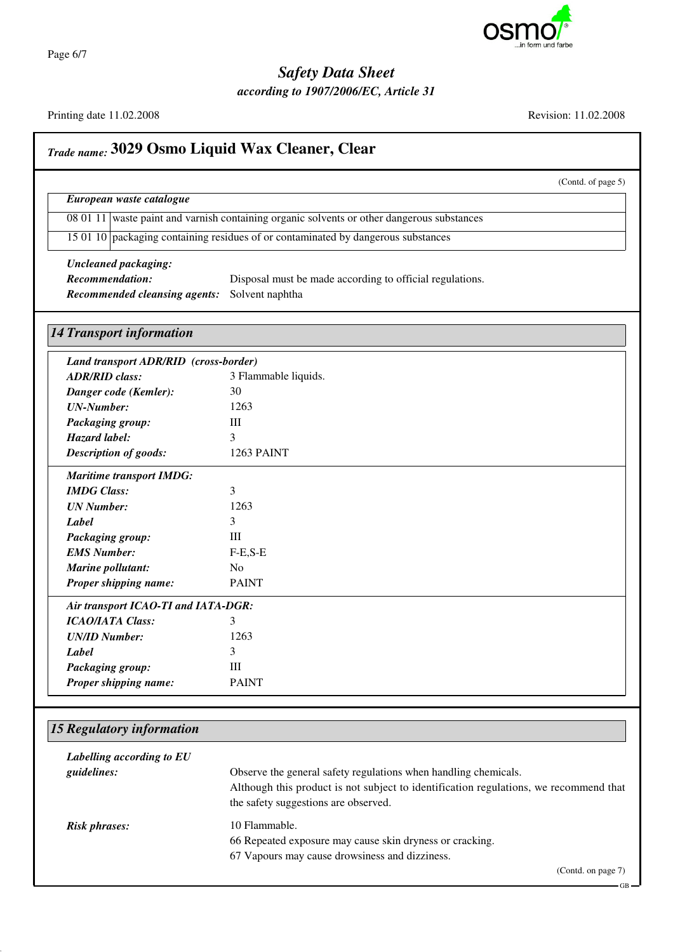

Page 6/7

#### *Safety Data Sheet*

*according to 1907/2006/EC, Article 31*

Printing date 11.02.2008 Revision: 11.02.2008

*Trade name:* **3029 Osmo Liquid Wax Cleaner, Clear** (Contd. of page 5) *European waste catalogue* 08 01 11 waste paint and varnish containing organic solvents or other dangerous substances 15 01 10 packaging containing residues of or contaminated by dangerous substances *Uncleaned packaging: Recommendation:* Disposal must be made according to official regulations. *Recommended cleansing agents:* Solvent naphtha *14 Transport information Land transport ADR/RID (cross-border) ADR/RID class:* 3 Flammable liquids. *Danger code (Kemler):* 30 *UN-Number:* 1263 **Packaging group:** III *Hazard label:* 3 *Description of goods:* 1263 PAINT *Maritime transport IMDG: IMDG Class:* 3 *UN Number:* 1263 *Label* 3 **Packaging group:** III *EMS Number:* F-E,S-E *Marine pollutant:* No *Proper shipping name:* PAINT *Air transport ICAO-TI and IATA-DGR: ICAO/IATA Class:* 3 *UN/ID Number:* 1263 *Label* 3 **Packaging group:** III *Proper shipping name:* PAINT

#### *15 Regulatory information*

| Labelling according to EU<br>guidelines: | Observe the general safety regulations when handling chemicals.<br>Although this product is not subject to identification regulations, we recommend that<br>the safety suggestions are observed. |
|------------------------------------------|--------------------------------------------------------------------------------------------------------------------------------------------------------------------------------------------------|
| <b>Risk phrases:</b>                     | 10 Flammable.<br>66 Repeated exposure may cause skin dryness or cracking.<br>67 Vapours may cause drowsiness and dizziness.                                                                      |
|                                          | (Contd. on page 7)                                                                                                                                                                               |

#### GB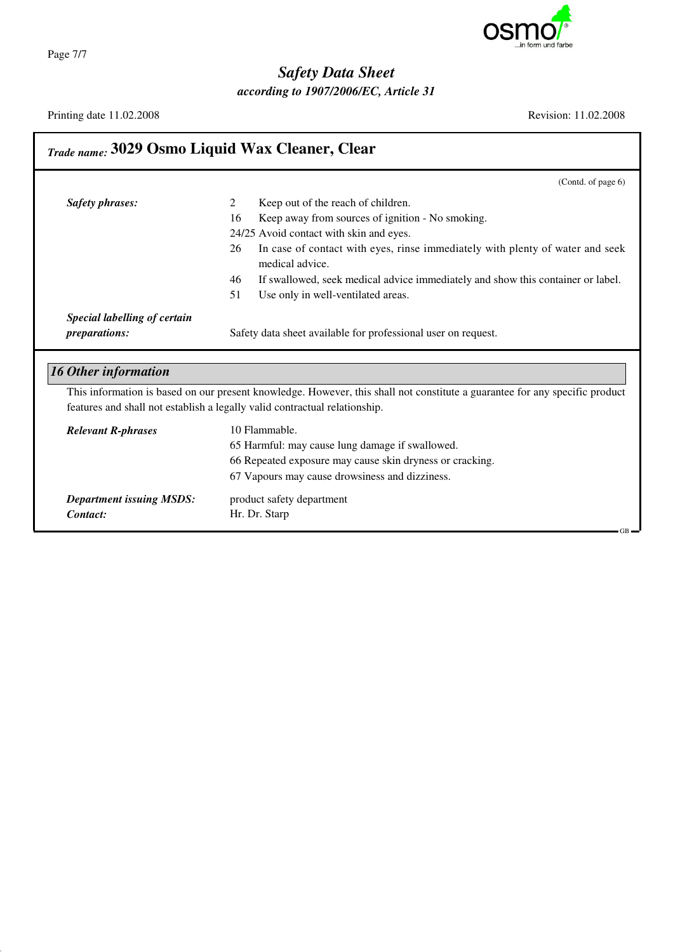

*according to 1907/2006/EC, Article 31*

Printing date 11.02.2008 Revision: 11.02.2008

| <b>Trade name: 3029 Osmo Liquid Wax Cleaner, Clear</b> |                                                                                                                             |
|--------------------------------------------------------|-----------------------------------------------------------------------------------------------------------------------------|
|                                                        | (Contd. of page 6)                                                                                                          |
| <b>Safety phrases:</b>                                 | Keep out of the reach of children.<br>2                                                                                     |
|                                                        | Keep away from sources of ignition - No smoking.<br>16                                                                      |
|                                                        | 24/25 Avoid contact with skin and eyes.                                                                                     |
|                                                        | In case of contact with eyes, rinse immediately with plenty of water and seek<br>26<br>medical advice.                      |
|                                                        | 46<br>If swallowed, seek medical advice immediately and show this container or label.                                       |
|                                                        | 51<br>Use only in well-ventilated areas.                                                                                    |
| Special labelling of certain                           |                                                                                                                             |
| preparations:                                          | Safety data sheet available for professional user on request.                                                               |
| <b>16 Other information</b>                            | This information is based on our present knowledge. However, this shall not constitute a guarantee for any specific product |
|                                                        | features and shall not establish a legally valid contractual relationship.                                                  |
| <b>Relevant R-phrases</b>                              | 10 Flammable.                                                                                                               |
|                                                        | 65 Harmful: may cause lung damage if swallowed.                                                                             |
|                                                        | 66 Repeated exposure may cause skin dryness or cracking.                                                                    |
|                                                        | 67 Vapours may cause drowsiness and dizziness.                                                                              |
| <b>Department issuing MSDS:</b>                        | product safety department                                                                                                   |
| Contact:                                               | Hr. Dr. Starp<br>$GB -$                                                                                                     |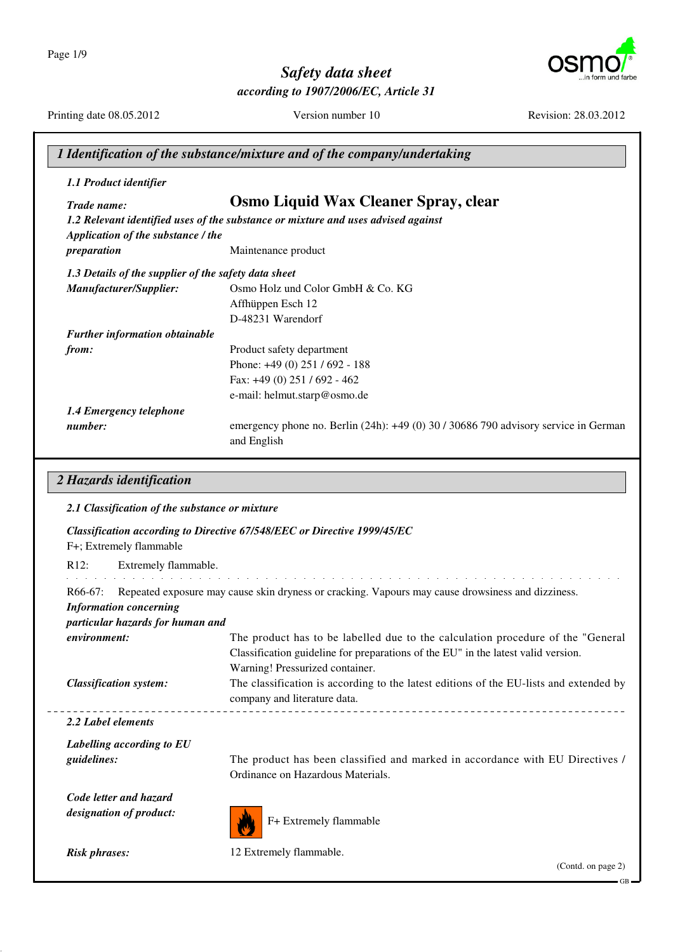Page 1/9



GB

# *Safety data sheet*

*according to 1907/2006/EC, Article 31*

|                                                                                | 1 Identification of the substance/mixture and of the company/undertaking                                                                                                                                 |
|--------------------------------------------------------------------------------|----------------------------------------------------------------------------------------------------------------------------------------------------------------------------------------------------------|
| 1.1 Product identifier                                                         |                                                                                                                                                                                                          |
| Trade name:                                                                    | <b>Osmo Liquid Wax Cleaner Spray, clear</b><br>1.2 Relevant identified uses of the substance or mixture and uses advised against                                                                         |
| Application of the substance / the<br>preparation                              | Maintenance product                                                                                                                                                                                      |
| 1.3 Details of the supplier of the safety data sheet                           |                                                                                                                                                                                                          |
| Manufacturer/Supplier:                                                         | Osmo Holz und Color GmbH & Co. KG<br>Affhüppen Esch 12<br>D-48231 Warendorf                                                                                                                              |
| <b>Further information obtainable</b>                                          |                                                                                                                                                                                                          |
| from:                                                                          | Product safety department<br>Phone: +49 (0) 251 / 692 - 188<br>Fax: +49 (0) 251 / 692 - 462                                                                                                              |
|                                                                                | e-mail: helmut.starp@osmo.de                                                                                                                                                                             |
| 1.4 Emergency telephone<br>number:                                             | emergency phone no. Berlin (24h): +49 (0) 30 / 30686 790 advisory service in German<br>and English                                                                                                       |
| F+; Extremely flammable<br>R12:<br>Extremely flammable.                        | Classification according to Directive 67/548/EEC or Directive 1999/45/EC                                                                                                                                 |
| $R66-67:$<br><b>Information concerning</b><br>particular hazards for human and | Repeated exposure may cause skin dryness or cracking. Vapours may cause drowsiness and dizziness.                                                                                                        |
| environment:                                                                   | The product has to be labelled due to the calculation procedure of the "General"<br>Classification guideline for preparations of the EU" in the latest valid version.<br>Warning! Pressurized container. |
| <b>Classification system:</b>                                                  | The classification is according to the latest editions of the EU-lists and extended by<br>company and literature data.                                                                                   |
| 2.2 Label elements                                                             |                                                                                                                                                                                                          |
| Labelling according to EU<br>guidelines:                                       | The product has been classified and marked in accordance with EU Directives /<br>Ordinance on Hazardous Materials.                                                                                       |
| Code letter and hazard<br>designation of product:                              | F+ Extremely flammable                                                                                                                                                                                   |
| <b>Risk phrases:</b>                                                           | 12 Extremely flammable.<br>(Contd. on page 2)                                                                                                                                                            |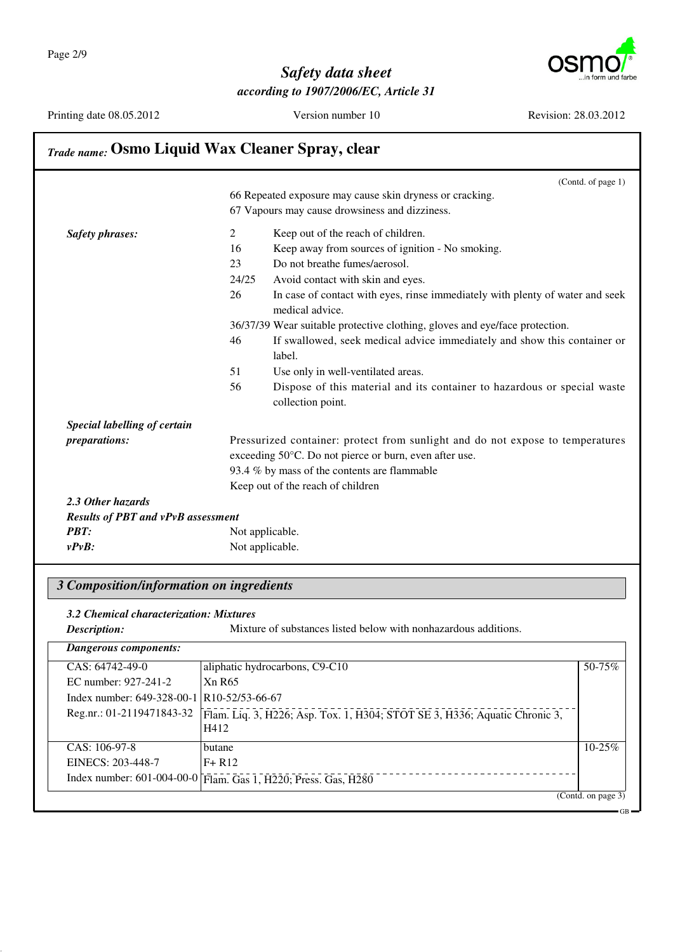

Printing date 08.05.2012 Version number 10 Revision: 28.03.2012

| <b>Trade name: Osmo Liquid Wax Cleaner Spray, clear</b> |                |                                                                                                  |
|---------------------------------------------------------|----------------|--------------------------------------------------------------------------------------------------|
|                                                         |                | (Contd. of page 1)                                                                               |
|                                                         |                | 66 Repeated exposure may cause skin dryness or cracking.                                         |
|                                                         |                | 67 Vapours may cause drowsiness and dizziness.                                                   |
| <b>Safety phrases:</b>                                  | $\overline{2}$ | Keep out of the reach of children.                                                               |
|                                                         | 16             | Keep away from sources of ignition - No smoking.                                                 |
|                                                         | 23             | Do not breathe fumes/aerosol.                                                                    |
|                                                         | 24/25          | Avoid contact with skin and eyes.                                                                |
|                                                         | 26             | In case of contact with eyes, rinse immediately with plenty of water and seek<br>medical advice. |
|                                                         |                | 36/37/39 Wear suitable protective clothing, gloves and eye/face protection.                      |
|                                                         | 46             | If swallowed, seek medical advice immediately and show this container or                         |
|                                                         |                | label.                                                                                           |
|                                                         | 51             | Use only in well-ventilated areas.                                                               |
|                                                         | 56             | Dispose of this material and its container to hazardous or special waste                         |
|                                                         |                | collection point.                                                                                |
| Special labelling of certain                            |                |                                                                                                  |
| preparations:                                           |                | Pressurized container: protect from sunlight and do not expose to temperatures                   |
|                                                         |                | exceeding 50°C. Do not pierce or burn, even after use.                                           |
|                                                         |                | 93.4 % by mass of the contents are flammable                                                     |
|                                                         |                | Keep out of the reach of children                                                                |
| 2.3 Other hazards                                       |                |                                                                                                  |
| <b>Results of PBT and vPvB assessment</b>               |                |                                                                                                  |
| <b>PBT:</b>                                             |                | Not applicable.                                                                                  |
| $v P v B$ :                                             |                | Not applicable.                                                                                  |

#### *3 Composition/information on ingredients*

*3.2 Chemical characterization: Mixtures*

**Description:** Mixture of substances listed below with nonhazardous additions.

| aliphatic hydrocarbons, C9-C10                                                     | 50-75%                                                                                                                                    |
|------------------------------------------------------------------------------------|-------------------------------------------------------------------------------------------------------------------------------------------|
| Xn R65                                                                             |                                                                                                                                           |
|                                                                                    |                                                                                                                                           |
| Flam. Liq. 3, H226; Asp. Tox. 1, H304; STOT SE 3, H336; Aquatic Chronic 3,<br>H412 |                                                                                                                                           |
| butane                                                                             | $10 - 25\%$                                                                                                                               |
| $F + R12$                                                                          |                                                                                                                                           |
|                                                                                    |                                                                                                                                           |
|                                                                                    | Index number: 649-328-00-1 R10-52/53-66-67<br>Reg.nr.: 01-2119471843-32<br>Index number: 601-004-00-0 Flam. Gas 1, H220; Press. Gas, H280 |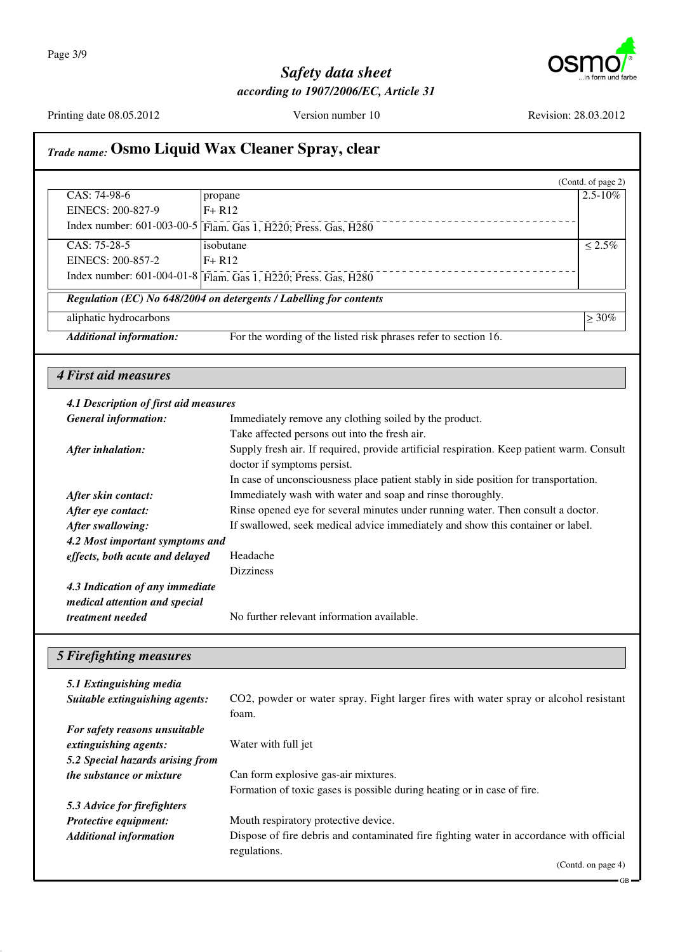

GB

#### *Safety data sheet according to 1907/2006/EC, Article 31*

Printing date 08.05.2012 Version number 10 Revision: 28.03.2012

#### *Trade name:* **Osmo Liquid Wax Cleaner Spray, clear** (Contd. of page 2) CAS: 74-98-6 EINECS: 200-827-9 Index number: 601-003-00-5 Flam. Gas 1, H220; Press. Gas, H280 propane F+ R12  $2.5 - 10\%$ CAS: 75-28-5 EINECS: 200-857-2 Index number: 601-004-01-8 Flam. Gas 1, H220; Press. Gas, H280 isobutane F+ R12  $\sqrt{2.5\%}$ *Regulation (EC) No 648/2004 on detergents / Labelling for contents* aliphatic hydrocarbons  $\geq 30\%$ *Additional information:* For the wording of the listed risk phrases refer to section 16. *4 First aid measures 4.1 Description of first aid measures General information:* Immediately remove any clothing soiled by the product. Take affected persons out into the fresh air. *After inhalation:* Supply fresh air. If required, provide artificial respiration. Keep patient warm. Consult doctor if symptoms persist. In case of unconsciousness place patient stably in side position for transportation. *After skin contact:* Immediately wash with water and soap and rinse thoroughly. *After eye contact:* Rinse opened eye for several minutes under running water. Then consult a doctor. *After swallowing:* If swallowed, seek medical advice immediately and show this container or label. *4.2 Most important symptoms and effects, both acute and delayed* Headache Dizziness *4.3 Indication of any immediate medical attention and special treatment needed* No further relevant information available. *5 Firefighting measures 5.1 Extinguishing media Suitable extinguishing agents:* CO2, powder or water spray. Fight larger fires with water spray or alcohol resistant foam. *For safety reasons unsuitable extinguishing agents:* Water with full jet *5.2 Special hazards arising from the substance or mixture* Can form explosive gas-air mixtures. Formation of toxic gases is possible during heating or in case of fire. *5.3 Advice for firefighters Protective equipment:* Mouth respiratory protective device. *Additional information* Dispose of fire debris and contaminated fire fighting water in accordance with official regulations. (Contd. on page 4)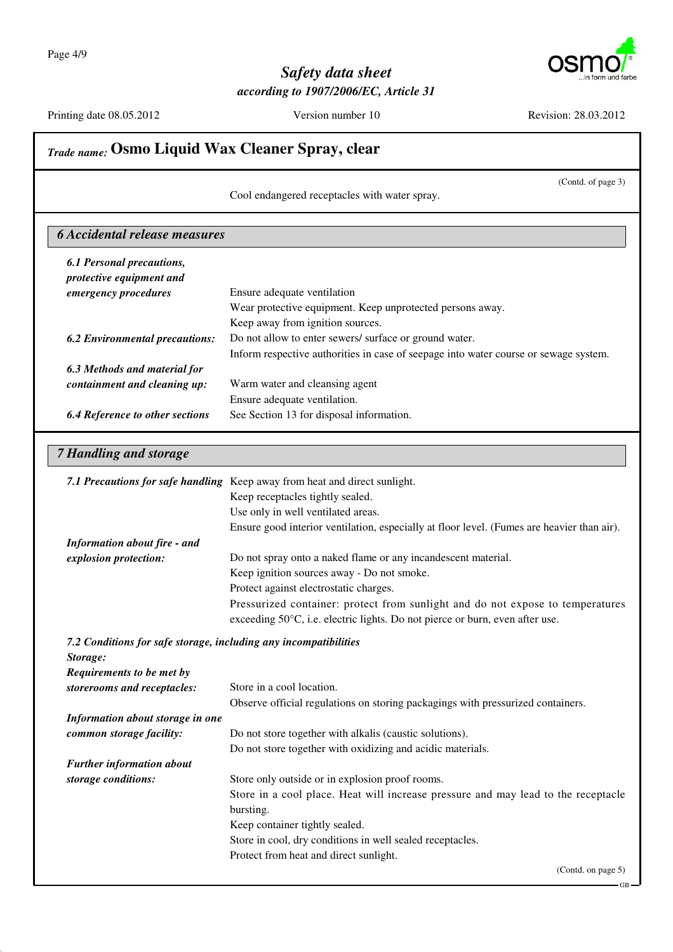

|                                                                              | (Contd. of page 3)<br>Cool endangered receptacles with water spray.                        |
|------------------------------------------------------------------------------|--------------------------------------------------------------------------------------------|
| <b>6 Accidental release measures</b>                                         |                                                                                            |
| <b>6.1 Personal precautions,</b>                                             |                                                                                            |
| protective equipment and                                                     |                                                                                            |
| emergency procedures                                                         | Ensure adequate ventilation                                                                |
|                                                                              | Wear protective equipment. Keep unprotected persons away.                                  |
|                                                                              | Keep away from ignition sources.                                                           |
| <b>6.2 Environmental precautions:</b>                                        | Do not allow to enter sewers/ surface or ground water.                                     |
|                                                                              | Inform respective authorities in case of seepage into water course or sewage system.       |
| 6.3 Methods and material for                                                 |                                                                                            |
| containment and cleaning up:                                                 | Warm water and cleansing agent                                                             |
|                                                                              | Ensure adequate ventilation.                                                               |
| <b>6.4 Reference to other sections</b>                                       | See Section 13 for disposal information.                                                   |
| <b>7 Handling and storage</b>                                                |                                                                                            |
|                                                                              | 7.1 Precautions for safe handling Keep away from heat and direct sunlight.                 |
|                                                                              | Keep receptacles tightly sealed.                                                           |
|                                                                              | Use only in well ventilated areas.                                                         |
|                                                                              | Ensure good interior ventilation, especially at floor level. (Fumes are heavier than air). |
| <b>Information about fire - and</b>                                          |                                                                                            |
| explosion protection:                                                        | Do not spray onto a naked flame or any incandescent material.                              |
|                                                                              | Keep ignition sources away - Do not smoke.                                                 |
|                                                                              | Protect against electrostatic charges.                                                     |
|                                                                              | Pressurized container: protect from sunlight and do not expose to temperatures             |
|                                                                              | exceeding 50°C, i.e. electric lights. Do not pierce or burn, even after use.               |
| 7.2 Conditions for safe storage, including any incompatibilities<br>Storage: |                                                                                            |
| Requirements to be met by                                                    |                                                                                            |
| storerooms and receptacles:                                                  | Store in a cool location.                                                                  |
|                                                                              | Observe official regulations on storing packagings with pressurized containers.            |
| Information about storage in one                                             |                                                                                            |
| common storage facility:                                                     | Do not store together with alkalis (caustic solutions).                                    |
|                                                                              | Do not store together with oxidizing and acidic materials.                                 |
| <b>Further information about</b>                                             |                                                                                            |
| storage conditions:                                                          | Store only outside or in explosion proof rooms.                                            |
|                                                                              | Store in a cool place. Heat will increase pressure and may lead to the receptacle          |
|                                                                              | bursting.                                                                                  |
|                                                                              | Keep container tightly sealed.                                                             |
|                                                                              | Store in cool, dry conditions in well sealed receptacles.                                  |
|                                                                              | Protect from heat and direct sunlight.                                                     |
|                                                                              |                                                                                            |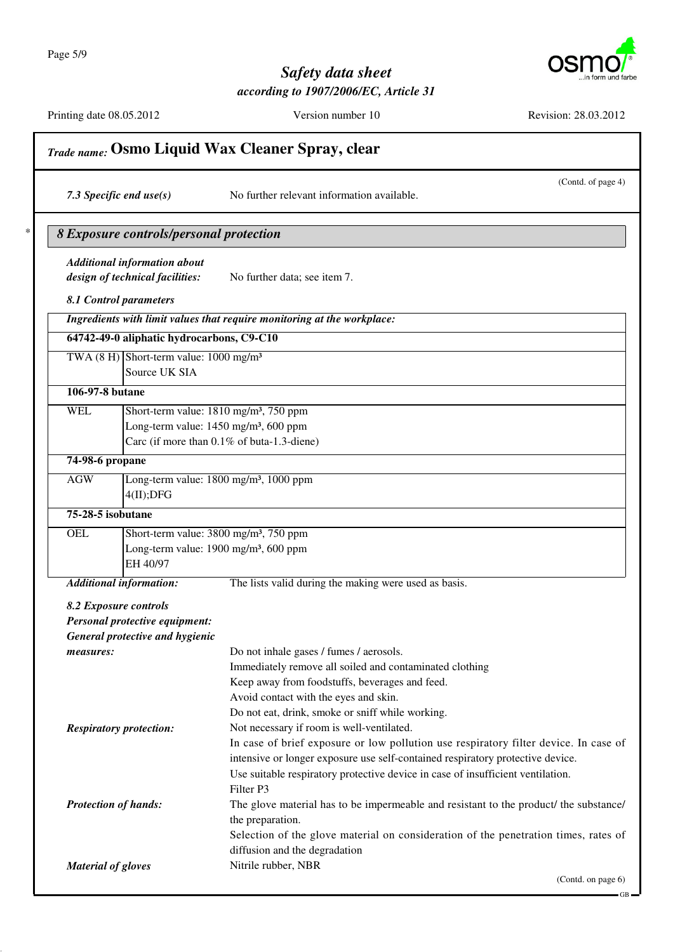Page 5/9



## *Safety data sheet according to 1907/2006/EC, Article 31*

| Trade name: Osmo Liquid Wax Cleaner Spray, clear |                                                                                            |                                                                                                                                                                        |
|--------------------------------------------------|--------------------------------------------------------------------------------------------|------------------------------------------------------------------------------------------------------------------------------------------------------------------------|
|                                                  | 7.3 Specific end $use(s)$                                                                  | (Contd. of page 4)<br>No further relevant information available.                                                                                                       |
|                                                  | 8 Exposure controls/personal protection                                                    |                                                                                                                                                                        |
|                                                  | <b>Additional information about</b>                                                        |                                                                                                                                                                        |
|                                                  | design of technical facilities:                                                            | No further data; see item 7.                                                                                                                                           |
|                                                  | 8.1 Control parameters                                                                     |                                                                                                                                                                        |
|                                                  |                                                                                            | Ingredients with limit values that require monitoring at the workplace:                                                                                                |
|                                                  | 64742-49-0 aliphatic hydrocarbons, C9-C10                                                  |                                                                                                                                                                        |
|                                                  | TWA $(8 \text{ H})$ Short-term value: $1000 \text{ mg/m}^3$<br>Source UK SIA               |                                                                                                                                                                        |
|                                                  |                                                                                            |                                                                                                                                                                        |
| 106-97-8 butane                                  |                                                                                            |                                                                                                                                                                        |
| <b>WEL</b>                                       |                                                                                            | Short-term value: 1810 mg/m <sup>3</sup> , 750 ppm                                                                                                                     |
|                                                  |                                                                                            | Long-term value: 1450 mg/m <sup>3</sup> , 600 ppm<br>Carc (if more than 0.1% of buta-1.3-diene)                                                                        |
|                                                  |                                                                                            |                                                                                                                                                                        |
| 74-98-6 propane                                  |                                                                                            |                                                                                                                                                                        |
| AGW                                              | 4(II);DFG                                                                                  | Long-term value: 1800 mg/m <sup>3</sup> , 1000 ppm                                                                                                                     |
| 75-28-5 isobutane                                |                                                                                            |                                                                                                                                                                        |
| <b>OEL</b>                                       |                                                                                            | Short-term value: 3800 mg/m <sup>3</sup> , 750 ppm                                                                                                                     |
|                                                  | EH 40/97                                                                                   | Long-term value: 1900 mg/m <sup>3</sup> , 600 ppm                                                                                                                      |
|                                                  | <b>Additional information:</b>                                                             | The lists valid during the making were used as basis.                                                                                                                  |
|                                                  | 8.2 Exposure controls<br>Personal protective equipment:<br>General protective and hygienic |                                                                                                                                                                        |
| measures:                                        |                                                                                            | Do not inhale gases / fumes / aerosols.                                                                                                                                |
|                                                  |                                                                                            | Immediately remove all soiled and contaminated clothing                                                                                                                |
|                                                  |                                                                                            | Keep away from foodstuffs, beverages and feed.                                                                                                                         |
|                                                  |                                                                                            | Avoid contact with the eyes and skin.                                                                                                                                  |
|                                                  |                                                                                            | Do not eat, drink, smoke or sniff while working.                                                                                                                       |
|                                                  | <b>Respiratory protection:</b>                                                             | Not necessary if room is well-ventilated.                                                                                                                              |
|                                                  |                                                                                            | In case of brief exposure or low pollution use respiratory filter device. In case of<br>intensive or longer exposure use self-contained respiratory protective device. |
|                                                  |                                                                                            | Use suitable respiratory protective device in case of insufficient ventilation.                                                                                        |
|                                                  |                                                                                            | Filter P3                                                                                                                                                              |
|                                                  | <b>Protection of hands:</b>                                                                | The glove material has to be impermeable and resistant to the product/ the substance/<br>the preparation.                                                              |
|                                                  |                                                                                            | Selection of the glove material on consideration of the penetration times, rates of<br>diffusion and the degradation                                                   |
| <b>Material of gloves</b>                        |                                                                                            | Nitrile rubber, NBR                                                                                                                                                    |
|                                                  |                                                                                            | (Contd. on page 6)                                                                                                                                                     |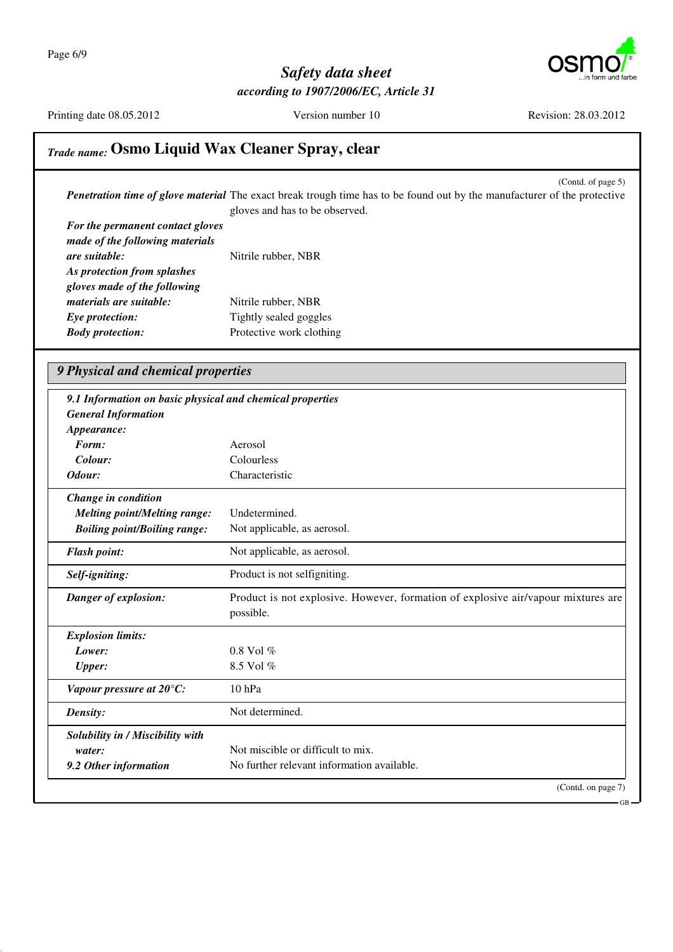

Printing date 08.05.2012 Version number 10 Revision: 28.03.2012

## *Trade name:* **Osmo Liquid Wax Cleaner Spray, clear**

(Contd. of page 5) *Penetration time of glove material* The exact break trough time has to be found out by the manufacturer of the protective gloves and has to be observed.

| For the permanent contact gloves |                          |
|----------------------------------|--------------------------|
| made of the following materials  |                          |
| are suitable:                    | Nitrile rubber, NBR      |
| As protection from splashes      |                          |
| gloves made of the following     |                          |
| <i>materials are suitable:</i>   | Nitrile rubber, NBR      |
| Eye protection:                  | Tightly sealed goggles   |
| <b>Body protection:</b>          | Protective work clothing |

#### *9 Physical and chemical properties*

| 9.1 Information on basic physical and chemical properties |                                                                                                |
|-----------------------------------------------------------|------------------------------------------------------------------------------------------------|
| <b>General Information</b>                                |                                                                                                |
| Appearance:                                               |                                                                                                |
| Form:                                                     | Aerosol                                                                                        |
| Colour:                                                   | Colourless                                                                                     |
| Odour:                                                    | Characteristic                                                                                 |
| Change in condition                                       |                                                                                                |
| <b>Melting point/Melting range:</b>                       | Undetermined.                                                                                  |
| <b>Boiling point/Boiling range:</b>                       | Not applicable, as aerosol.                                                                    |
| <b>Flash point:</b>                                       | Not applicable, as aerosol.                                                                    |
| Self-igniting:                                            | Product is not selfigniting.                                                                   |
| Danger of explosion:                                      | Product is not explosive. However, formation of explosive air/vapour mixtures are<br>possible. |
| <b>Explosion limits:</b>                                  |                                                                                                |
| Lower:                                                    | $0.8$ Vol $%$                                                                                  |
| <b>Upper:</b>                                             | 8.5 Vol $%$                                                                                    |
| Vapour pressure at 20°C:                                  | $10$ hPa                                                                                       |
| Density:                                                  | Not determined.                                                                                |
| Solubility in / Miscibility with                          |                                                                                                |
| water:                                                    | Not miscible or difficult to mix.                                                              |
| 9.2 Other information                                     | No further relevant information available.                                                     |
|                                                           | (Contd. on page 7)                                                                             |

GB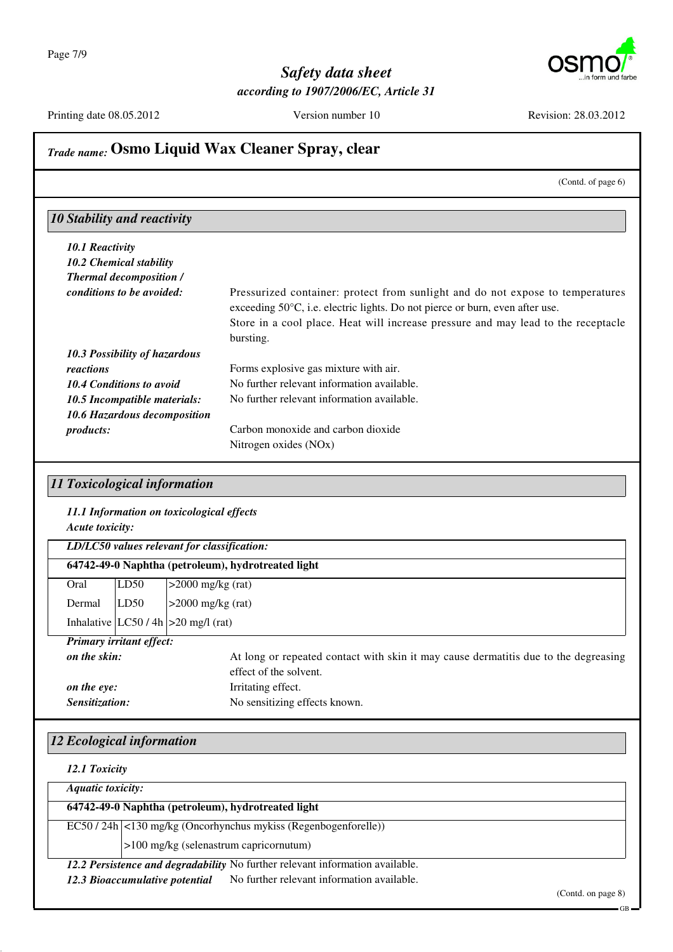

Printing date 08.05.2012 Version number 10 Revision: 28.03.2012

## *Trade name:* **Osmo Liquid Wax Cleaner Spray, clear**

(Contd. of page 6)

#### *10 Stability and reactivity*

| 10.1 Reactivity                     |                                                                                                                                                                                                                                                                            |
|-------------------------------------|----------------------------------------------------------------------------------------------------------------------------------------------------------------------------------------------------------------------------------------------------------------------------|
| 10.2 Chemical stability             |                                                                                                                                                                                                                                                                            |
| <b>Thermal decomposition /</b>      |                                                                                                                                                                                                                                                                            |
| conditions to be avoided:           | Pressurized container: protect from sunlight and do not expose to temperatures<br>exceeding $50^{\circ}$ C, i.e. electric lights. Do not pierce or burn, even after use.<br>Store in a cool place. Heat will increase pressure and may lead to the receptacle<br>bursting. |
| 10.3 Possibility of hazardous       |                                                                                                                                                                                                                                                                            |
| reactions                           | Forms explosive gas mixture with air.                                                                                                                                                                                                                                      |
| 10.4 Conditions to avoid            | No further relevant information available.                                                                                                                                                                                                                                 |
| 10.5 Incompatible materials:        | No further relevant information available.                                                                                                                                                                                                                                 |
| <b>10.6 Hazardous decomposition</b> |                                                                                                                                                                                                                                                                            |
| <i>products:</i>                    | Carbon monoxide and carbon dioxide                                                                                                                                                                                                                                         |
|                                     | Nitrogen oxides (NO <sub>x</sub> )                                                                                                                                                                                                                                         |

#### *11 Toxicological information*

## *11.1 Information on toxicological effects*

*Acute toxicity:*

|              |                                 | LD/LC50 values relevant for classification:                                         |  |
|--------------|---------------------------------|-------------------------------------------------------------------------------------|--|
|              |                                 | 64742-49-0 Naphtha (petroleum), hydrotreated light                                  |  |
| Oral         | LD50                            | $>2000$ mg/kg (rat)                                                                 |  |
| Dermal       | LD50                            | $>2000$ mg/kg (rat)                                                                 |  |
|              |                                 | Inhalative $ LC50/4h  > 20$ mg/l (rat)                                              |  |
|              | <b>Primary irritant effect:</b> |                                                                                     |  |
| on the skin: |                                 | At long or repeated contact with skin it may cause dermatitis due to the degreasing |  |
|              |                                 | effect of the solvent.                                                              |  |

effect of the solvent. **on the eye:** Irritating effect. *Sensitization:* No sensitizing effects known.

#### *12 Ecological information*

*12.1 Toxicity*

*Aquatic toxicity:*

**64742-49-0 Naphtha (petroleum), hydrotreated light**

EC50 / 24h <130 mg/kg (Oncorhynchus mykiss (Regenbogenforelle))

>100 mg/kg (selenastrum capricornutum)

*12.2 Persistence and degradability* No further relevant information available.

12.3 Bioaccumulative potential No further relevant information available.

(Contd. on page 8)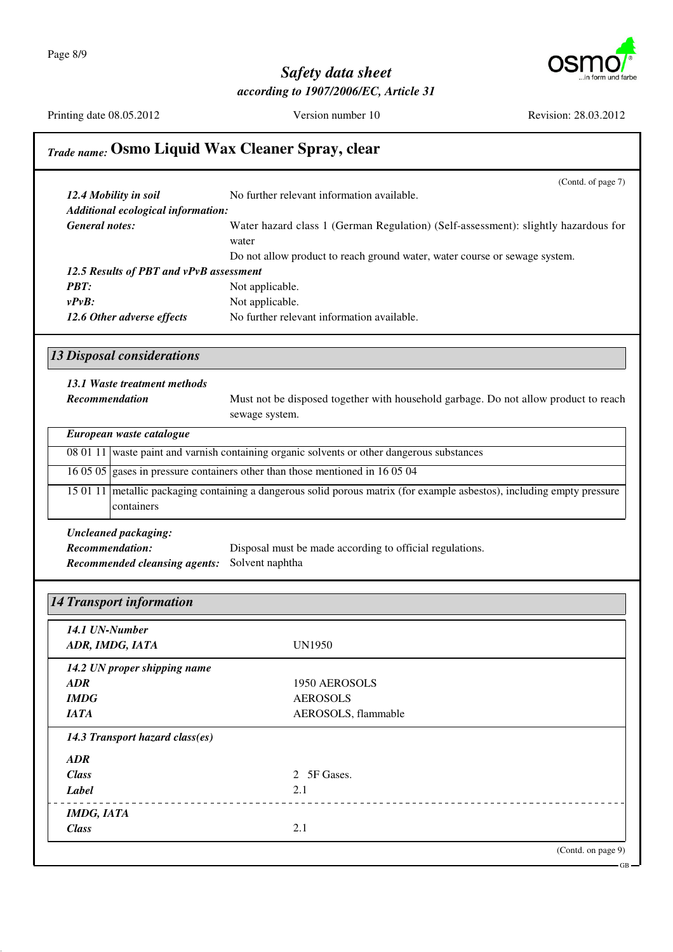Page 8/9



#### *Safety data sheet according to 1907/2006/EC, Article 31*

Printing date 08.05.2012 Version number 10 Revision: 28.03.2012

*IMDG, IATA*

*Class* 2.1

## *Trade name:* **Osmo Liquid Wax Cleaner Spray, clear**

|                                         | (Contd. of page 7)                                                                                                      |
|-----------------------------------------|-------------------------------------------------------------------------------------------------------------------------|
| 12.4 Mobility in soil                   | No further relevant information available.                                                                              |
| Additional ecological information:      |                                                                                                                         |
| <b>General notes:</b>                   | Water hazard class 1 (German Regulation) (Self-assessment): slightly hazardous for                                      |
|                                         | water                                                                                                                   |
|                                         | Do not allow product to reach ground water, water course or sewage system.                                              |
| 12.5 Results of PBT and vPvB assessment |                                                                                                                         |
| <b>PBT:</b>                             | Not applicable.                                                                                                         |
| $v P v B$ :                             | Not applicable.                                                                                                         |
| 12.6 Other adverse effects              | No further relevant information available.                                                                              |
| <b>13 Disposal considerations</b>       |                                                                                                                         |
| 13.1 Waste treatment methods            |                                                                                                                         |
| Recommendation                          | Must not be disposed together with household garbage. Do not allow product to reach                                     |
|                                         | sewage system.                                                                                                          |
| European waste catalogue                |                                                                                                                         |
|                                         | 08 01 11 waste paint and varnish containing organic solvents or other dangerous substances                              |
|                                         |                                                                                                                         |
|                                         | 16 05 05 gases in pressure containers other than those mentioned in 16 05 04                                            |
| containers                              | 15 01 11 metallic packaging containing a dangerous solid porous matrix (for example asbestos), including empty pressure |
| <b>Uncleaned packaging:</b>             |                                                                                                                         |
| <b>Recommendation:</b>                  | Disposal must be made according to official regulations.                                                                |
| <b>Recommended cleansing agents:</b>    | Solvent naphtha                                                                                                         |
|                                         |                                                                                                                         |
|                                         |                                                                                                                         |
| <b>14 Transport information</b>         |                                                                                                                         |
| 14.1 UN-Number                          |                                                                                                                         |
| ADR, IMDG, IATA                         | <b>UN1950</b>                                                                                                           |
|                                         |                                                                                                                         |
| 14.2 UN proper shipping name            |                                                                                                                         |
| ADR                                     | 1950 AEROSOLS                                                                                                           |
| IMDG                                    | <b>AEROSOLS</b>                                                                                                         |
| <b>IATA</b>                             | AEROSOLS, flammable                                                                                                     |
| 14.3 Transport hazard class(es)         |                                                                                                                         |
| <b>ADR</b>                              |                                                                                                                         |
| <b>Class</b>                            | 2 5F Gases.                                                                                                             |
| <b>Label</b>                            | 2.1                                                                                                                     |
|                                         |                                                                                                                         |

(Contd. on page 9)

GB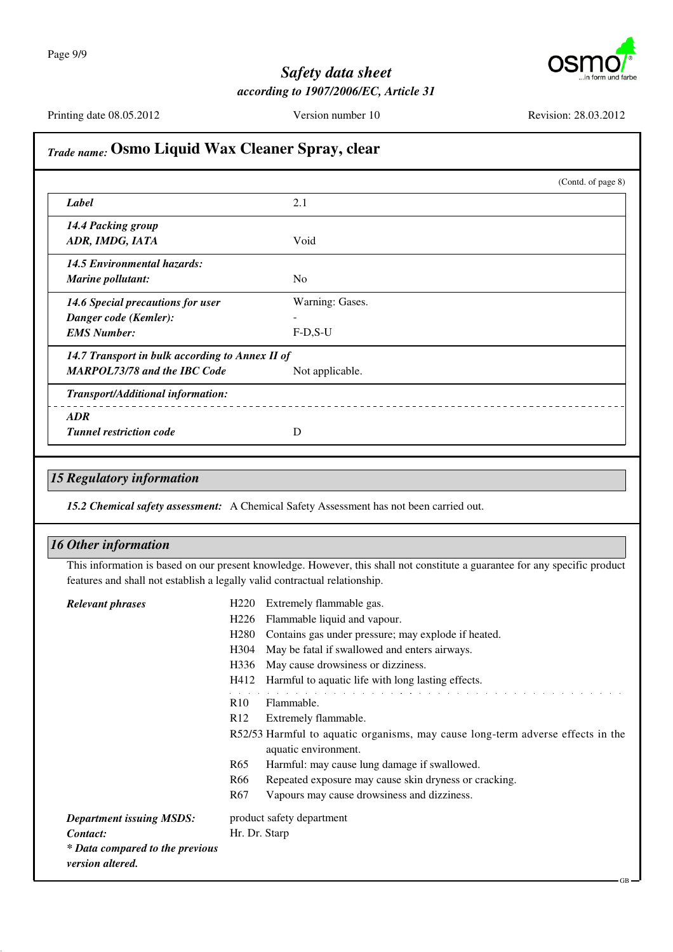

| Label                                                                                  | (Contd. of page 8)<br>2.1                                                                                                                                                                                                       |
|----------------------------------------------------------------------------------------|---------------------------------------------------------------------------------------------------------------------------------------------------------------------------------------------------------------------------------|
|                                                                                        |                                                                                                                                                                                                                                 |
| 14.4 Packing group<br>ADR, IMDG, IATA                                                  | Void                                                                                                                                                                                                                            |
| <b>14.5 Environmental hazards:</b><br><b>Marine pollutant:</b>                         | No                                                                                                                                                                                                                              |
| 14.6 Special precautions for user<br>Danger code (Kemler):                             | Warning: Gases.                                                                                                                                                                                                                 |
| <b>EMS Number:</b>                                                                     | $F-D,S-U$                                                                                                                                                                                                                       |
| 14.7 Transport in bulk according to Annex II of<br><b>MARPOL73/78 and the IBC Code</b> | Not applicable.                                                                                                                                                                                                                 |
| Transport/Additional information:                                                      |                                                                                                                                                                                                                                 |
| ADR                                                                                    |                                                                                                                                                                                                                                 |
| <b>Tunnel restriction code</b>                                                         | D                                                                                                                                                                                                                               |
|                                                                                        | 15.2 Chemical safety assessment: A Chemical Safety Assessment has not been carried out.                                                                                                                                         |
| <b>15 Regulatory information</b><br><b>16 Other information</b>                        |                                                                                                                                                                                                                                 |
|                                                                                        | features and shall not establish a legally valid contractual relationship.                                                                                                                                                      |
| <b>Relevant phrases</b>                                                                | Extremely flammable gas.<br>H <sub>220</sub>                                                                                                                                                                                    |
|                                                                                        | Flammable liquid and vapour.<br>H <sub>226</sub><br>H280 Contains gas under pressure; may explode if heated.                                                                                                                    |
|                                                                                        | May be fatal if swallowed and enters airways.<br>H304                                                                                                                                                                           |
|                                                                                        | May cause drowsiness or dizziness.<br>H336                                                                                                                                                                                      |
|                                                                                        | Harmful to aquatic life with long lasting effects.<br>H412                                                                                                                                                                      |
|                                                                                        | Flammable.<br>R10                                                                                                                                                                                                               |
|                                                                                        | R12<br>Extremely flammable.                                                                                                                                                                                                     |
|                                                                                        |                                                                                                                                                                                                                                 |
|                                                                                        | aquatic environment.<br>R <sub>65</sub><br>Harmful: may cause lung damage if swallowed.                                                                                                                                         |
|                                                                                        | Repeated exposure may cause skin dryness or cracking.<br>R <sub>66</sub>                                                                                                                                                        |
|                                                                                        | Vapours may cause drowsiness and dizziness.<br>R <sub>67</sub>                                                                                                                                                                  |
| <b>Department issuing MSDS:</b>                                                        | product safety department                                                                                                                                                                                                       |
| Contact:<br>* Data compared to the previous                                            | This information is based on our present knowledge. However, this shall not constitute a guarantee for any specific product<br>R52/53 Harmful to aquatic organisms, may cause long-term adverse effects in the<br>Hr. Dr. Starp |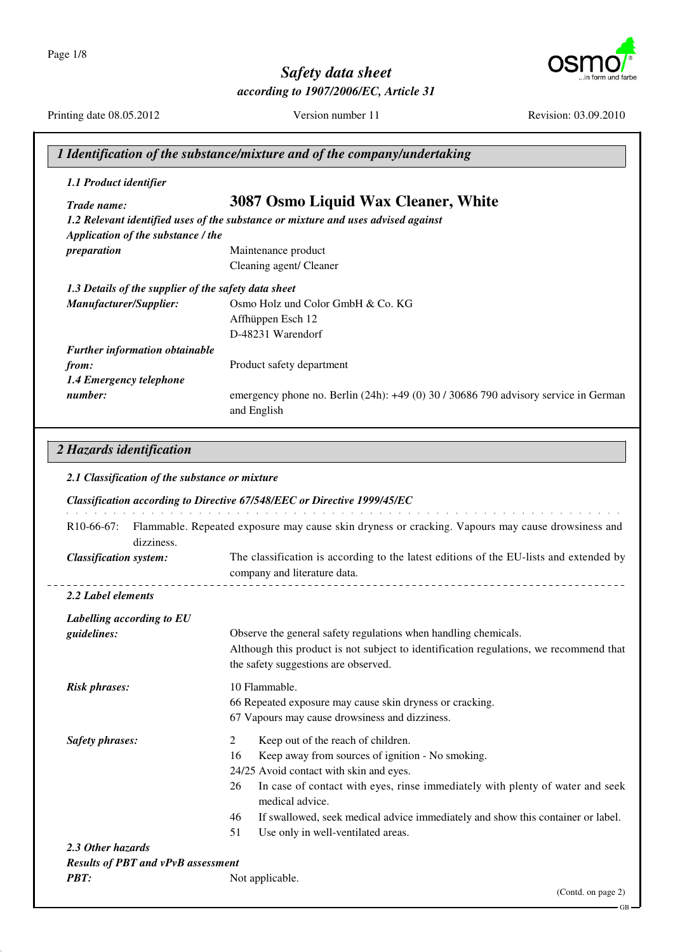Page 1/8



# *Safety data sheet*

*according to 1907/2006/EC, Article 31*

Printing date 08.05.2012 Version number 11 Revision: 03.09.2010

|                                                                                | 1 Identification of the substance/mixture and of the company/undertaking                                                                                                                                                                                                                                                                                                                                 |
|--------------------------------------------------------------------------------|----------------------------------------------------------------------------------------------------------------------------------------------------------------------------------------------------------------------------------------------------------------------------------------------------------------------------------------------------------------------------------------------------------|
| 1.1 Product identifier                                                         |                                                                                                                                                                                                                                                                                                                                                                                                          |
| Trade name:<br>Application of the substance / the                              | 3087 Osmo Liquid Wax Cleaner, White<br>1.2 Relevant identified uses of the substance or mixture and uses advised against                                                                                                                                                                                                                                                                                 |
| preparation                                                                    | Maintenance product<br>Cleaning agent/ Cleaner                                                                                                                                                                                                                                                                                                                                                           |
| 1.3 Details of the supplier of the safety data sheet<br>Manufacturer/Supplier: | Osmo Holz und Color GmbH & Co. KG<br>Affhüppen Esch 12<br>D-48231 Warendorf                                                                                                                                                                                                                                                                                                                              |
| Further information obtainable<br>from:<br>1.4 Emergency telephone<br>number:  | Product safety department<br>emergency phone no. Berlin (24h): +49 (0) 30 / 30686 790 advisory service in German<br>and English                                                                                                                                                                                                                                                                          |
| 2.1 Classification of the substance or mixture<br>$R10-66-67$ :<br>dizziness.  | Classification according to Directive 67/548/EEC or Directive 1999/45/EC<br>Flammable. Repeated exposure may cause skin dryness or cracking. Vapours may cause drowsiness and                                                                                                                                                                                                                            |
| <b>Classification system:</b>                                                  | The classification is according to the latest editions of the EU-lists and extended by<br>company and literature data.                                                                                                                                                                                                                                                                                   |
| 2.2 Label elements                                                             |                                                                                                                                                                                                                                                                                                                                                                                                          |
| Labelling according to EU<br>guidelines:                                       | Observe the general safety regulations when handling chemicals.<br>Although this product is not subject to identification regulations, we recommend that<br>the safety suggestions are observed.                                                                                                                                                                                                         |
| <b>Risk phrases:</b>                                                           | 10 Flammable.<br>66 Repeated exposure may cause skin dryness or cracking.<br>67 Vapours may cause drowsiness and dizziness.                                                                                                                                                                                                                                                                              |
| <b>Safety phrases:</b>                                                         | $\overline{2}$<br>Keep out of the reach of children.<br>Keep away from sources of ignition - No smoking.<br>16<br>24/25 Avoid contact with skin and eyes.<br>In case of contact with eyes, rinse immediately with plenty of water and seek<br>26<br>medical advice.<br>If swallowed, seek medical advice immediately and show this container or label.<br>46<br>Use only in well-ventilated areas.<br>51 |

*2.3 Other hazards Results of PBT and vPvB assessment PBT:* Not applicable.

(Contd. on page 2)

GB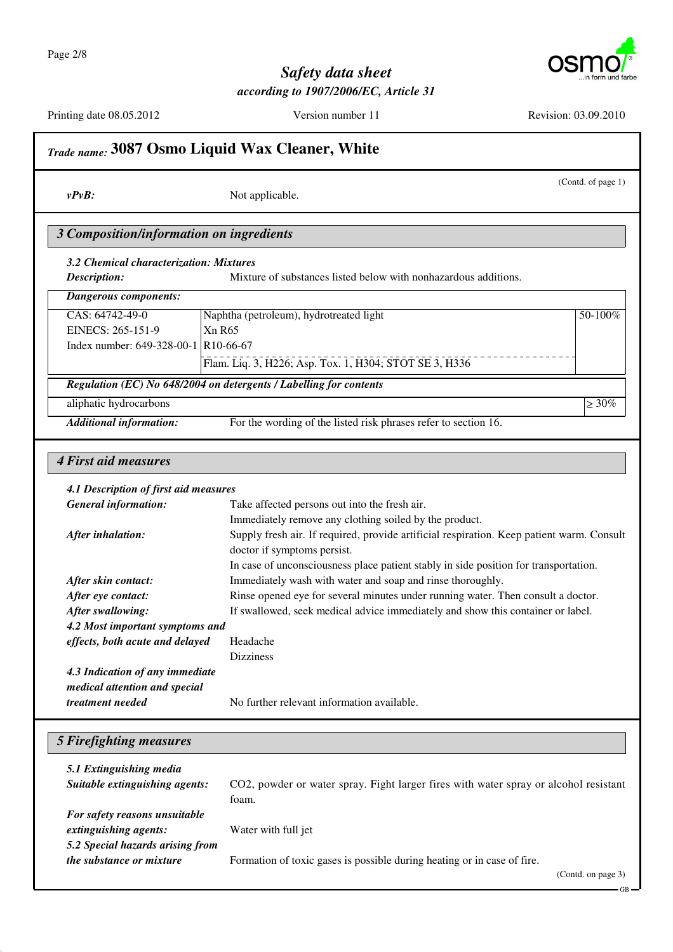

GB

## *Safety data sheet according to 1907/2006/EC, Article 31*

|                                                                    | Trade name: 3087 Osmo Liquid Wax Cleaner, White                                                                                                                                    |  |  |
|--------------------------------------------------------------------|------------------------------------------------------------------------------------------------------------------------------------------------------------------------------------|--|--|
| $v P v B$ :                                                        | (Contd. of page 1)<br>Not applicable.                                                                                                                                              |  |  |
| 3 Composition/information on ingredients                           |                                                                                                                                                                                    |  |  |
| 3.2 Chemical characterization: Mixtures<br>Description:            | Mixture of substances listed below with nonhazardous additions.                                                                                                                    |  |  |
| <b>Dangerous components:</b>                                       |                                                                                                                                                                                    |  |  |
| CAS: 64742-49-0                                                    | 50-100%                                                                                                                                                                            |  |  |
| EINECS: 265-151-9                                                  | Naphtha (petroleum), hydrotreated light<br>Xn R65                                                                                                                                  |  |  |
| Index number: 649-328-00-1 R10-66-67                               |                                                                                                                                                                                    |  |  |
|                                                                    | Flam. Liq. 3, H226; Asp. Tox. 1, H304; STOT SE 3, H336                                                                                                                             |  |  |
|                                                                    | Regulation (EC) No 648/2004 on detergents / Labelling for contents                                                                                                                 |  |  |
| aliphatic hydrocarbons                                             | $\geq 30\%$                                                                                                                                                                        |  |  |
| <b>Additional information:</b>                                     | For the wording of the listed risk phrases refer to section 16.                                                                                                                    |  |  |
| <b>4 First aid measures</b>                                        |                                                                                                                                                                                    |  |  |
| 4.1 Description of first aid measures                              |                                                                                                                                                                                    |  |  |
| <b>General information:</b>                                        | Take affected persons out into the fresh air.                                                                                                                                      |  |  |
| After inhalation:                                                  | Immediately remove any clothing soiled by the product.<br>Supply fresh air. If required, provide artificial respiration. Keep patient warm. Consult<br>doctor if symptoms persist. |  |  |
|                                                                    | In case of unconsciousness place patient stably in side position for transportation.                                                                                               |  |  |
| After skin contact:                                                | Immediately wash with water and soap and rinse thoroughly.                                                                                                                         |  |  |
| After eye contact:                                                 | Rinse opened eye for several minutes under running water. Then consult a doctor.                                                                                                   |  |  |
| After swallowing:                                                  | If swallowed, seek medical advice immediately and show this container or label.                                                                                                    |  |  |
| 4.2 Most important symptoms and<br>effects, both acute and delayed | Headache                                                                                                                                                                           |  |  |
|                                                                    | <b>Dizziness</b>                                                                                                                                                                   |  |  |
| 4.3 Indication of any immediate                                    |                                                                                                                                                                                    |  |  |
| medical attention and special                                      |                                                                                                                                                                                    |  |  |
| treatment needed                                                   | No further relevant information available.                                                                                                                                         |  |  |
|                                                                    |                                                                                                                                                                                    |  |  |
| 5 Firefighting measures                                            |                                                                                                                                                                                    |  |  |
| 5.1 Extinguishing media                                            |                                                                                                                                                                                    |  |  |
| Suitable extinguishing agents:                                     | CO2, powder or water spray. Fight larger fires with water spray or alcohol resistant                                                                                               |  |  |
|                                                                    | foam.                                                                                                                                                                              |  |  |
| For safety reasons unsuitable                                      |                                                                                                                                                                                    |  |  |
| extinguishing agents:                                              | Water with full jet                                                                                                                                                                |  |  |
| 5.2 Special hazards arising from                                   |                                                                                                                                                                                    |  |  |
| the substance or mixture                                           | Formation of toxic gases is possible during heating or in case of fire.<br>(Contd. on page 3)                                                                                      |  |  |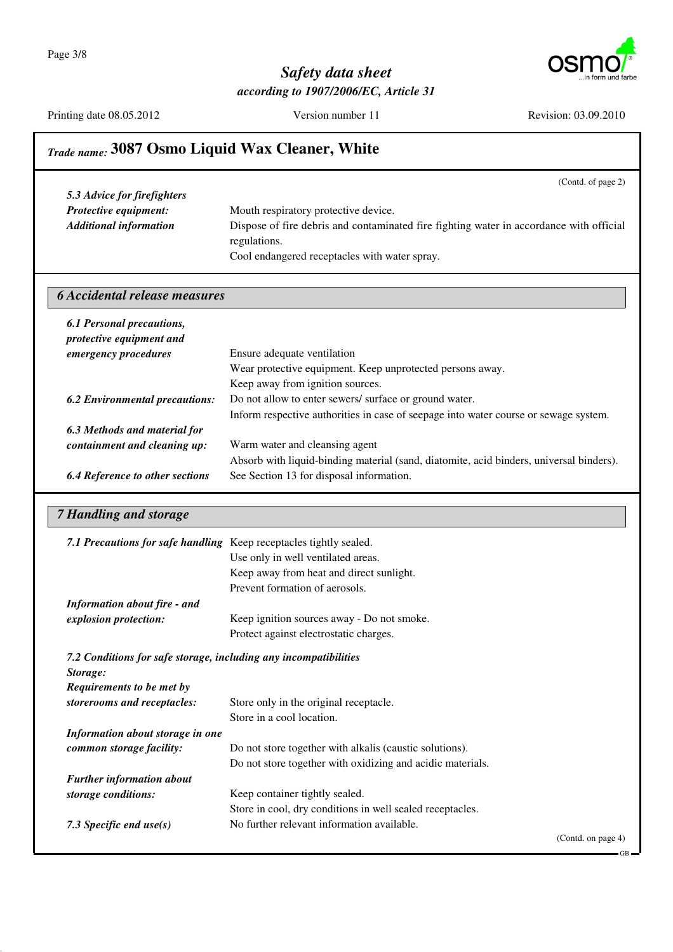Page 3/8



## *Safety data sheet according to 1907/2006/EC, Article 31*

|                                                                                           | (Contd. of page 2)                                                                                      |
|-------------------------------------------------------------------------------------------|---------------------------------------------------------------------------------------------------------|
| 5.3 Advice for firefighters                                                               |                                                                                                         |
| Protective equipment:                                                                     | Mouth respiratory protective device.                                                                    |
| <b>Additional information</b>                                                             | Dispose of fire debris and contaminated fire fighting water in accordance with official                 |
|                                                                                           | regulations.                                                                                            |
|                                                                                           | Cool endangered receptacles with water spray.                                                           |
| <b>6 Accidental release measures</b>                                                      |                                                                                                         |
| <b>6.1 Personal precautions,</b>                                                          |                                                                                                         |
| protective equipment and                                                                  |                                                                                                         |
| emergency procedures                                                                      | Ensure adequate ventilation                                                                             |
|                                                                                           | Wear protective equipment. Keep unprotected persons away.                                               |
|                                                                                           | Keep away from ignition sources.                                                                        |
| <b>6.2 Environmental precautions:</b>                                                     | Do not allow to enter sewers/ surface or ground water.                                                  |
|                                                                                           | Inform respective authorities in case of seepage into water course or sewage system.                    |
| 6.3 Methods and material for                                                              |                                                                                                         |
| containment and cleaning up:                                                              | Warm water and cleansing agent                                                                          |
|                                                                                           | Absorb with liquid-binding material (sand, diatomite, acid binders, universal binders).                 |
| <b>6.4 Reference to other sections</b>                                                    | See Section 13 for disposal information.                                                                |
|                                                                                           |                                                                                                         |
|                                                                                           |                                                                                                         |
|                                                                                           | 7.1 Precautions for safe handling Keep receptacles tightly sealed.                                      |
|                                                                                           | Use only in well ventilated areas.                                                                      |
|                                                                                           | Keep away from heat and direct sunlight.                                                                |
|                                                                                           | Prevent formation of aerosols.                                                                          |
| <b>Information about fire - and</b>                                                       |                                                                                                         |
|                                                                                           | Keep ignition sources away - Do not smoke.<br>Protect against electrostatic charges.                    |
| explosion protection:<br>7.2 Conditions for safe storage, including any incompatibilities |                                                                                                         |
|                                                                                           |                                                                                                         |
| Storage:<br>Requirements to be met by                                                     |                                                                                                         |
| storerooms and receptacles:                                                               | Store only in the original receptacle.                                                                  |
|                                                                                           | Store in a cool location.                                                                               |
| Information about storage in one                                                          |                                                                                                         |
| common storage facility:                                                                  | Do not store together with alkalis (caustic solutions).                                                 |
|                                                                                           | Do not store together with oxidizing and acidic materials.                                              |
| <b>Further information about</b>                                                          |                                                                                                         |
| storage conditions:                                                                       | Keep container tightly sealed.                                                                          |
| 7.3 Specific end $use(s)$                                                                 | Store in cool, dry conditions in well sealed receptacles.<br>No further relevant information available. |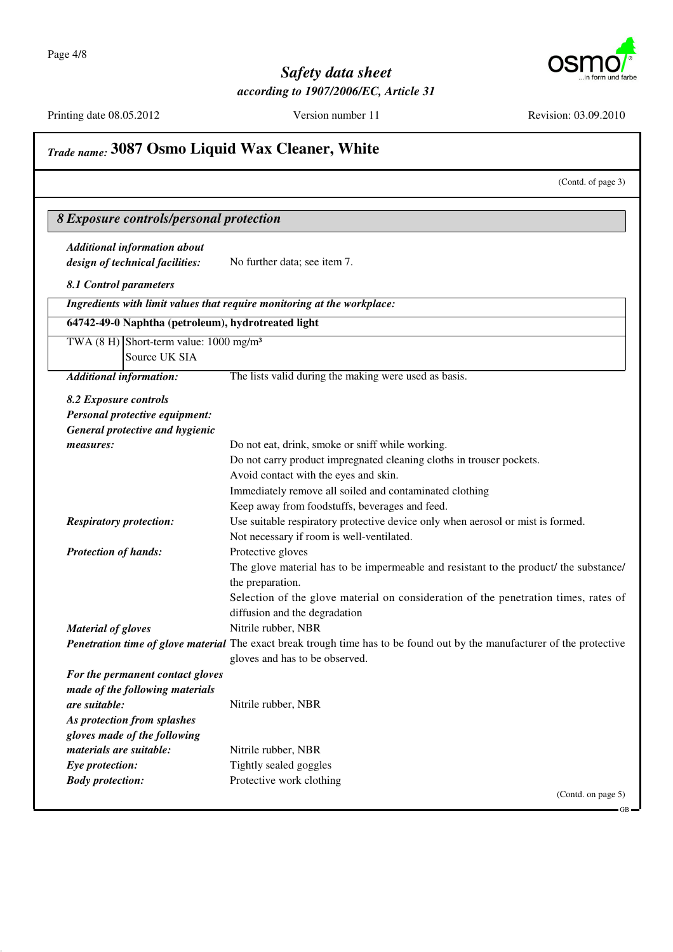**T** 



GB

## *Safety data sheet according to 1907/2006/EC, Article 31*

|                                                              | (Contd. of page 3)                                                                                                       |
|--------------------------------------------------------------|--------------------------------------------------------------------------------------------------------------------------|
| 8 Exposure controls/personal protection                      |                                                                                                                          |
| <b>Additional information about</b>                          |                                                                                                                          |
| design of technical facilities:                              | No further data; see item 7.                                                                                             |
| 8.1 Control parameters                                       |                                                                                                                          |
|                                                              | Ingredients with limit values that require monitoring at the workplace:                                                  |
| 64742-49-0 Naphtha (petroleum), hydrotreated light           |                                                                                                                          |
| TWA $(8 \text{ H})$ Short-term value: 1000 mg/m <sup>3</sup> |                                                                                                                          |
| Source UK SIA                                                |                                                                                                                          |
| <b>Additional information:</b>                               | The lists valid during the making were used as basis.                                                                    |
|                                                              |                                                                                                                          |
| 8.2 Exposure controls<br>Personal protective equipment:      |                                                                                                                          |
| <b>General protective and hygienic</b>                       |                                                                                                                          |
| measures:                                                    | Do not eat, drink, smoke or sniff while working.                                                                         |
|                                                              | Do not carry product impregnated cleaning cloths in trouser pockets.                                                     |
|                                                              | Avoid contact with the eyes and skin.                                                                                    |
|                                                              | Immediately remove all soiled and contaminated clothing                                                                  |
|                                                              | Keep away from foodstuffs, beverages and feed.                                                                           |
| <b>Respiratory protection:</b>                               | Use suitable respiratory protective device only when aerosol or mist is formed.                                          |
|                                                              | Not necessary if room is well-ventilated.                                                                                |
| <b>Protection of hands:</b>                                  | Protective gloves                                                                                                        |
|                                                              | The glove material has to be impermeable and resistant to the product/ the substance/                                    |
|                                                              | the preparation.                                                                                                         |
|                                                              | Selection of the glove material on consideration of the penetration times, rates of                                      |
|                                                              | diffusion and the degradation                                                                                            |
| <b>Material of gloves</b>                                    | Nitrile rubber, NBR                                                                                                      |
|                                                              | Penetration time of glove material The exact break trough time has to be found out by the manufacturer of the protective |
|                                                              | gloves and has to be observed.                                                                                           |
| For the permanent contact gloves                             |                                                                                                                          |
| made of the following materials                              |                                                                                                                          |
| are suitable:                                                | Nitrile rubber, NBR                                                                                                      |
| As protection from splashes                                  |                                                                                                                          |
| gloves made of the following                                 |                                                                                                                          |
| materials are suitable:                                      | Nitrile rubber, NBR                                                                                                      |
| Eye protection:                                              | Tightly sealed goggles                                                                                                   |
| <b>Body protection:</b>                                      | Protective work clothing                                                                                                 |
|                                                              | (Contd. on page 5)                                                                                                       |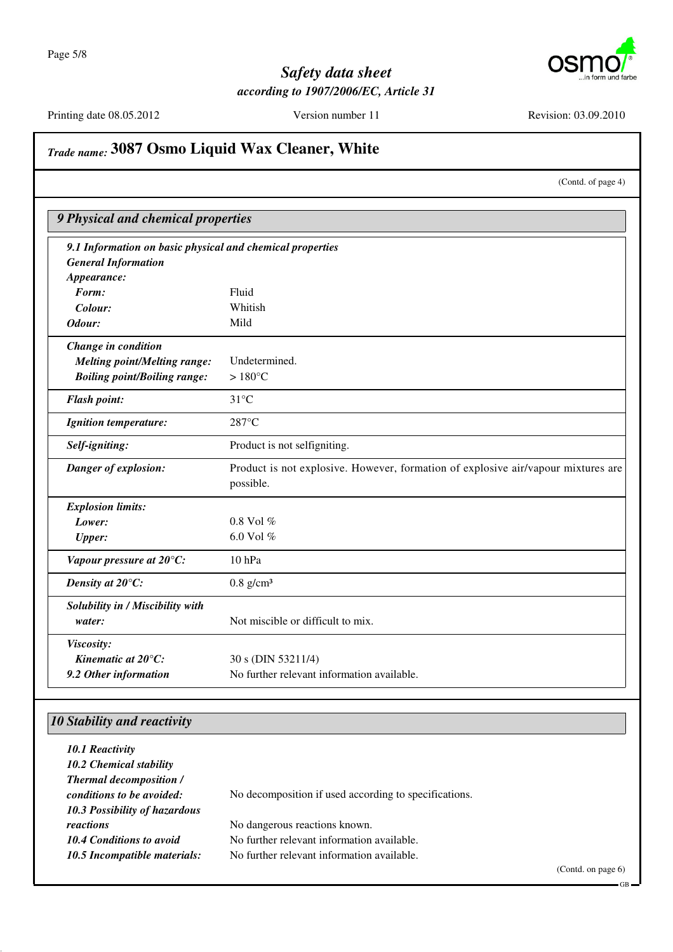

Printing date 08.05.2012 Version number 11 Revision: 03.09.2010

# *Trade name:* **3087 Osmo Liquid Wax Cleaner, White**

(Contd. of page 4)

| 9.1 Information on basic physical and chemical properties |                                                                                   |
|-----------------------------------------------------------|-----------------------------------------------------------------------------------|
| <b>General Information</b>                                |                                                                                   |
| Appearance:                                               |                                                                                   |
| Form:                                                     | Fluid                                                                             |
| Colour:                                                   | Whitish                                                                           |
| Odour:                                                    | Mild                                                                              |
| Change in condition                                       |                                                                                   |
| <b>Melting point/Melting range:</b>                       | Undetermined.                                                                     |
| <b>Boiling point/Boiling range:</b>                       | $>180^{\circ}$ C                                                                  |
| <b>Flash point:</b>                                       | $31^{\circ}$ C                                                                    |
| <b>Ignition temperature:</b>                              | 287°C                                                                             |
| Self-igniting:                                            | Product is not selfigniting.                                                      |
| Danger of explosion:                                      | Product is not explosive. However, formation of explosive air/vapour mixtures are |
|                                                           | possible.                                                                         |
| <b>Explosion limits:</b>                                  |                                                                                   |
| Lower:                                                    | 0.8 Vol %                                                                         |
| <b>Upper:</b>                                             | 6.0 Vol %                                                                         |
| Vapour pressure at 20°C:                                  | 10 <sub>hPa</sub>                                                                 |
| Density at 20°C:                                          | $0.8$ g/cm <sup>3</sup>                                                           |
| Solubility in / Miscibility with                          |                                                                                   |
| water:                                                    | Not miscible or difficult to mix.                                                 |
| Viscosity:                                                |                                                                                   |
| Kinematic at $20^{\circ}$ C:                              | 30 s (DIN 53211/4)                                                                |
| 9.2 Other information                                     | No further relevant information available.                                        |

#### *10 Stability and reactivity*

| 10.1 Reactivity<br>10.2 Chemical stability<br><b>Thermal decomposition /</b> |                                                       |
|------------------------------------------------------------------------------|-------------------------------------------------------|
| conditions to be avoided:<br>10.3 Possibility of hazardous                   | No decomposition if used according to specifications. |
| reactions                                                                    | No dangerous reactions known.                         |
| <b>10.4 Conditions to avoid</b>                                              | No further relevant information available.            |
| 10.5 Incompatible materials:                                                 | No further relevant information available.            |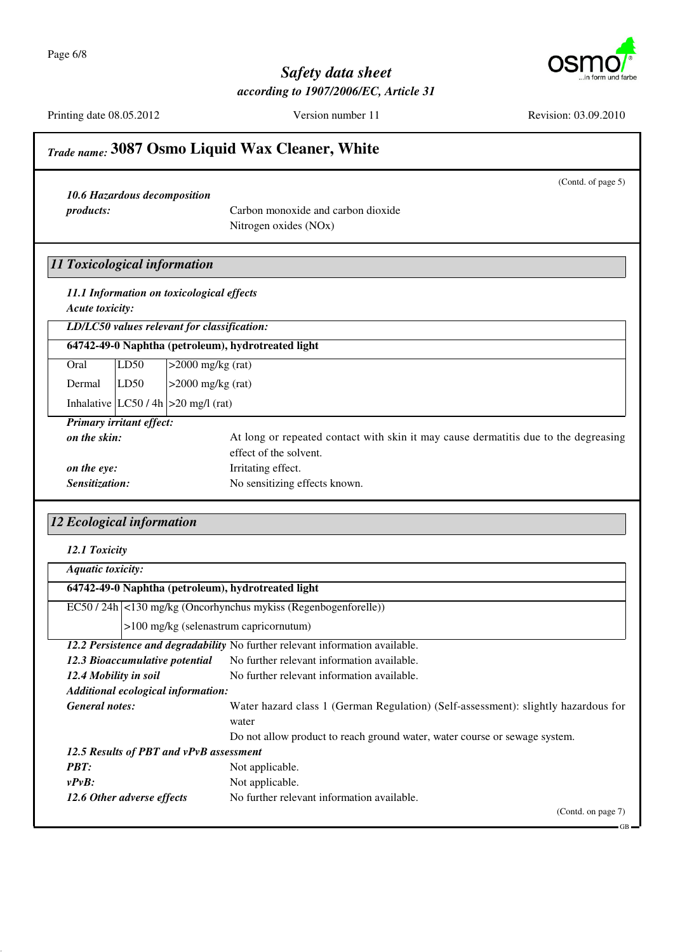

(Contd. of page 5)

#### *Safety data sheet according to 1907/2006/EC, Article 31*

Printing date 08.05.2012 Version number 11 Revision: 03.09.2010

#### *Trade name:* **3087 Osmo Liquid Wax Cleaner, White**

*10.6 Hazardous decomposition*

*products:* Carbon monoxide and carbon dioxide Nitrogen oxides (NOx)

#### *11 Toxicological information*

*11.1 Information on toxicological effects Acute toxicity:*

*LD/LC50 values relevant for classification:*

|        |                                 | 64742-49-0 Naphtha (petroleum), hydrotreated light |
|--------|---------------------------------|----------------------------------------------------|
| Oral   | LD50                            | $>2000$ mg/kg (rat)                                |
| Dermal | LD50                            | $>2000$ mg/kg (rat)                                |
|        |                                 | Inhalative $ LC50/4h  > 20$ mg/l (rat)             |
|        | <b>Primary irritant effect:</b> |                                                    |

| I rentary erretant cricet. |                                                                                     |
|----------------------------|-------------------------------------------------------------------------------------|
| on the skin:               | At long or repeated contact with skin it may cause dermatitis due to the degreasing |
|                            | effect of the solvent.                                                              |
| on the eve:                | Irritating effect.                                                                  |
| Sensitization:             | No sensitizing effects known.                                                       |

#### *12 Ecological information*

| 12.1 Toxicity |
|---------------|
|               |

| <b>Aquatic toxicity:</b>                           |                                                                                    |
|----------------------------------------------------|------------------------------------------------------------------------------------|
| 64742-49-0 Naphtha (petroleum), hydrotreated light |                                                                                    |
|                                                    | EC50 / 24h   <130 mg/kg (Oncorhynchus mykiss (Regenbogenforelle))                  |
| >100 mg/kg (selenastrum capricornutum)             |                                                                                    |
|                                                    | 12.2 Persistence and degradability No further relevant information available.      |
| 12.3 Bioaccumulative potential                     | No further relevant information available.                                         |
| 12.4 Mobility in soil                              | No further relevant information available.                                         |
| Additional ecological information:                 |                                                                                    |
| <b>General notes:</b>                              | Water hazard class 1 (German Regulation) (Self-assessment): slightly hazardous for |
|                                                    | water                                                                              |
|                                                    | Do not allow product to reach ground water, water course or sewage system.         |
| 12.5 Results of PBT and vPvB assessment            |                                                                                    |
| <b>PBT:</b>                                        | Not applicable.                                                                    |
| $v P v B$ :                                        | Not applicable.                                                                    |
| 12.6 Other adverse effects                         | No further relevant information available.                                         |
|                                                    | (Contd. on page 7)                                                                 |
|                                                    | $-$ GB                                                                             |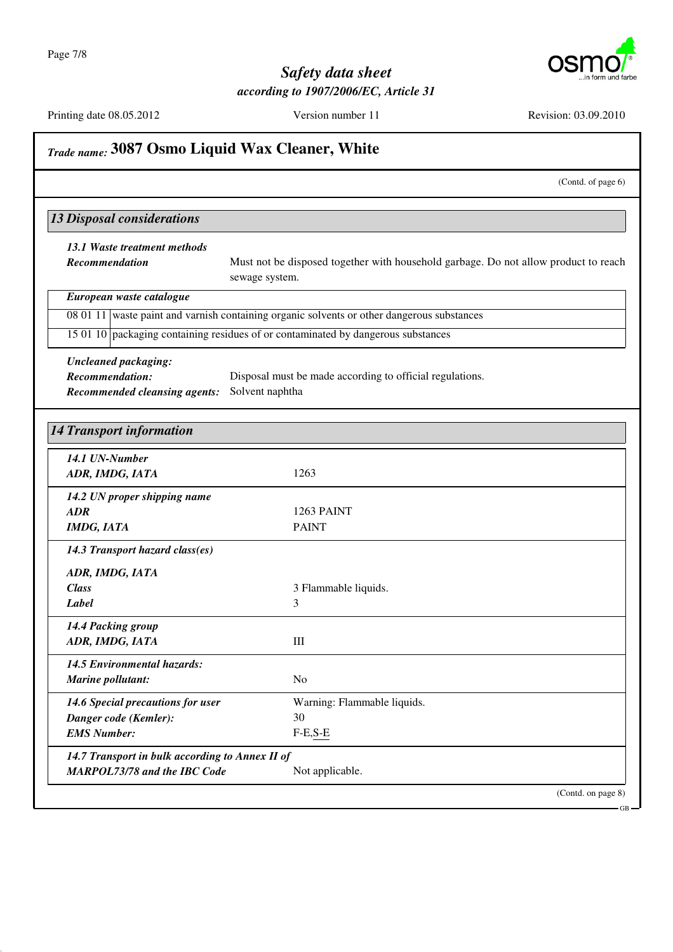

|                                                 | (Contd. of page 6)                                                                                    |
|-------------------------------------------------|-------------------------------------------------------------------------------------------------------|
| <b>13 Disposal considerations</b>               |                                                                                                       |
| 13.1 Waste treatment methods                    |                                                                                                       |
| Recommendation                                  | Must not be disposed together with household garbage. Do not allow product to reach<br>sewage system. |
| European waste catalogue                        |                                                                                                       |
|                                                 | 08 01 11 waste paint and varnish containing organic solvents or other dangerous substances            |
|                                                 | 15 01 10 packaging containing residues of or contaminated by dangerous substances                     |
| <b>Uncleaned packaging:</b>                     |                                                                                                       |
| <b>Recommendation:</b>                          | Disposal must be made according to official regulations.                                              |
| <b>Recommended cleansing agents:</b>            | Solvent naphtha                                                                                       |
|                                                 |                                                                                                       |
| <b>14 Transport information</b>                 |                                                                                                       |
| 14.1 UN-Number                                  |                                                                                                       |
| ADR, IMDG, IATA                                 | 1263                                                                                                  |
| 14.2 UN proper shipping name                    |                                                                                                       |
| <b>ADR</b>                                      | 1263 PAINT                                                                                            |
| <b>IMDG, IATA</b>                               | <b>PAINT</b>                                                                                          |
| 14.3 Transport hazard class(es)                 |                                                                                                       |
| ADR, IMDG, IATA                                 |                                                                                                       |
| <b>Class</b>                                    | 3 Flammable liquids.                                                                                  |
| Label                                           | 3                                                                                                     |
| 14.4 Packing group                              |                                                                                                       |
| ADR, IMDG, IATA                                 | Ш                                                                                                     |
| 14.5 Environmental hazards:                     |                                                                                                       |
| Marine pollutant:                               | N <sub>o</sub>                                                                                        |
| 14.6 Special precautions for user               | Warning: Flammable liquids.                                                                           |
| Danger code (Kemler):                           | 30                                                                                                    |
| <b>EMS Number:</b>                              | $F-E,S-E$                                                                                             |
| 14.7 Transport in bulk according to Annex II of |                                                                                                       |
| MARPOL73/78 and the IBC Code                    | Not applicable.                                                                                       |